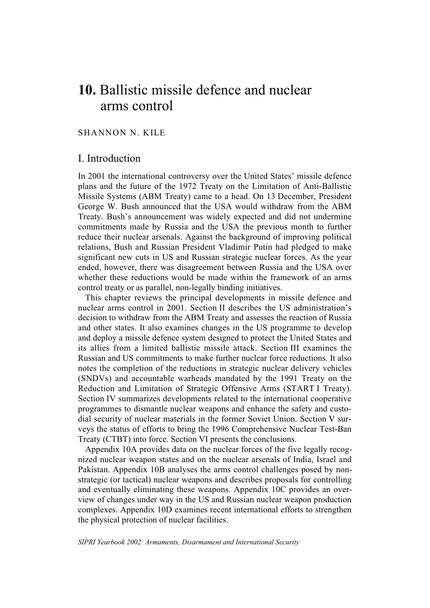# **10.** Ballistic missile defence and nuclear arms control

# SHANNON N. KILE

# I. Introduction

In 2001 the international controversy over the United States' missile defence plans and the future of the 1972 Treaty on the Limitation of Anti-Ballistic Missile Systems (ABM Treaty) came to a head. On 13 December, President George W. Bush announced that the USA would withdraw from the ABM Treaty. Bush's announcement was widely expected and did not undermine commitments made by Russia and the USA the previous month to further reduce their nuclear arsenals. Against the background of improving political relations, Bush and Russian President Vladimir Putin had pledged to make significant new cuts in US and Russian strategic nuclear forces. As the year ended, however, there was disagreement between Russia and the USA over whether these reductions would be made within the framework of an arms control treaty or as parallel, non-legally binding initiatives.

This chapter reviews the principal developments in missile defence and nuclear arms control in 2001. Section II describes the US administration's decision to withdraw from the ABM Treaty and assesses the reaction of Russia and other states. It also examines changes in the US programme to develop and deploy a missile defence system designed to protect the United States and its allies from a limited ballistic missile attack. Section III examines the Russian and US commitments to make further nuclear force reductions. It also notes the completion of the reductions in strategic nuclear delivery vehicles (SNDVs) and accountable warheads mandated by the 1991 Treaty on the Reduction and Limitation of Strategic Offensive Arms (START I Treaty). Section IV summarizes developments related to the international cooperative programmes to dismantle nuclear weapons and enhance the safety and custodial security of nuclear materials in the former Soviet Union. Section V surveys the status of efforts to bring the 1996 Comprehensive Nuclear Test-Ban Treaty (CTBT) into force. Section VI presents the conclusions.

Appendix 10A provides data on the nuclear forces of the five legally recognized nuclear weapon states and on the nuclear arsenals of India, Israel and Pakistan. Appendix 10B analyses the arms control challenges posed by nonstrategic (or tactical) nuclear weapons and describes proposals for controlling and eventually eliminating these weapons. Appendix 10C provides an overview of changes under way in the US and Russian nuclear weapon production complexes. Appendix 10D examines recent international efforts to strengthen the physical protection of nuclear facilities.

*SIPRI Yearbook 2002: Armaments, Disarmament and International Security*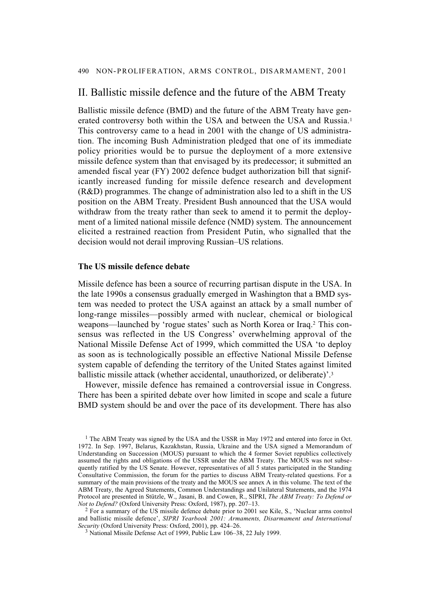# II. Ballistic missile defence and the future of the ABM Treaty

Ballistic missile defence (BMD) and the future of the ABM Treaty have generated controversy both within the USA and between the USA and Russia.1 This controversy came to a head in 2001 with the change of US administration. The incoming Bush Administration pledged that one of its immediate policy priorities would be to pursue the deployment of a more extensive missile defence system than that envisaged by its predecessor; it submitted an amended fiscal year (FY) 2002 defence budget authorization bill that significantly increased funding for missile defence research and development (R&D) programmes. The change of administration also led to a shift in the US position on the ABM Treaty. President Bush announced that the USA would withdraw from the treaty rather than seek to amend it to permit the deployment of a limited national missile defence (NMD) system. The announcement elicited a restrained reaction from President Putin, who signalled that the decision would not derail improving Russian–US relations.

## **The US missile defence debate**

Missile defence has been a source of recurring partisan dispute in the USA. In the late 1990s a consensus gradually emerged in Washington that a BMD system was needed to protect the USA against an attack by a small number of long-range missiles—possibly armed with nuclear, chemical or biological weapons—launched by 'rogue states' such as North Korea or Iraq.2 This consensus was reflected in the US Congress' overwhelming approval of the National Missile Defense Act of 1999, which committed the USA 'to deploy as soon as is technologically possible an effective National Missile Defense system capable of defending the territory of the United States against limited ballistic missile attack (whether accidental, unauthorized, or deliberate)'.3

However, missile defence has remained a controversial issue in Congress. There has been a spirited debate over how limited in scope and scale a future BMD system should be and over the pace of its development. There has also

 $1$  The ABM Treaty was signed by the USA and the USSR in May 1972 and entered into force in Oct. 1972. In Sep. 1997, Belarus, Kazakhstan, Russia, Ukraine and the USA signed a Memorandum of Understanding on Succession (MOUS) pursuant to which the 4 former Soviet republics collectively assumed the rights and obligations of the USSR under the ABM Treaty. The MOUS was not subsequently ratified by the US Senate. However, representatives of all 5 states participated in the Standing Consultative Commission, the forum for the parties to discuss ABM Treaty-related questions. For a summary of the main provisions of the treaty and the MOUS see annex A in this volume. The text of the ABM Treaty, the Agreed Statements, Common Understandings and Unilateral Statements, and the 1974 Protocol are presented in Stützle, W., Jasani, B. and Cowen, R., SIPRI, *The ABM Treaty: To Defend or Not to Defend?* (Oxford University Press: Oxford, 1987), pp. 207–13.

<sup>2</sup> For a summary of the US missile defence debate prior to 2001 see Kile, S., 'Nuclear arms control and ballistic missile defence', *SIPRI Yearbook 2001: Armaments, Disarmament and International Security* (Oxford University Press: Oxford, 2001), pp. 424–26.

<sup>3</sup> National Missile Defense Act of 1999, Public Law 106–38, 22 July 1999.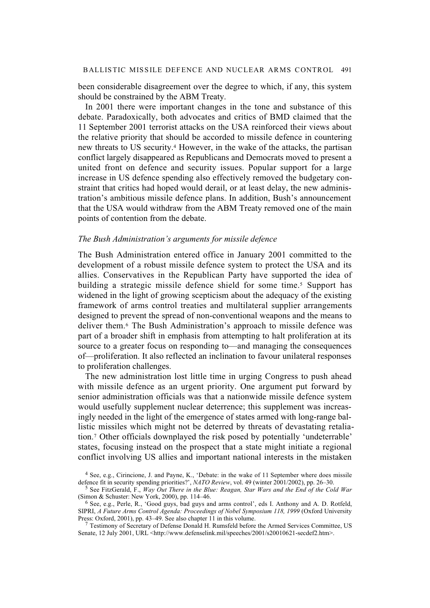been considerable disagreement over the degree to which, if any, this system should be constrained by the ABM Treaty.

In 2001 there were important changes in the tone and substance of this debate. Paradoxically, both advocates and critics of BMD claimed that the 11 September 2001 terrorist attacks on the USA reinforced their views about the relative priority that should be accorded to missile defence in countering new threats to US security.4 However, in the wake of the attacks, the partisan conflict largely disappeared as Republicans and Democrats moved to present a united front on defence and security issues. Popular support for a large increase in US defence spending also effectively removed the budgetary constraint that critics had hoped would derail, or at least delay, the new administration's ambitious missile defence plans. In addition, Bush's announcement that the USA would withdraw from the ABM Treaty removed one of the main points of contention from the debate.

## *The Bush Administration's arguments for missile defence*

The Bush Administration entered office in January 2001 committed to the development of a robust missile defence system to protect the USA and its allies. Conservatives in the Republican Party have supported the idea of building a strategic missile defence shield for some time.5 Support has widened in the light of growing scepticism about the adequacy of the existing framework of arms control treaties and multilateral supplier arrangements designed to prevent the spread of non-conventional weapons and the means to deliver them.6 The Bush Administration's approach to missile defence was part of a broader shift in emphasis from attempting to halt proliferation at its source to a greater focus on responding to—and managing the consequences of—proliferation. It also reflected an inclination to favour unilateral responses to proliferation challenges.

The new administration lost little time in urging Congress to push ahead with missile defence as an urgent priority. One argument put forward by senior administration officials was that a nationwide missile defence system would usefully supplement nuclear deterrence; this supplement was increasingly needed in the light of the emergence of states armed with long-range ballistic missiles which might not be deterred by threats of devastating retaliation.7 Other officials downplayed the risk posed by potentially 'undeterrable' states, focusing instead on the prospect that a state might initiate a regional conflict involving US allies and important national interests in the mistaken

<sup>4</sup> See, e.g., Cirincione, J. and Payne, K., 'Debate: in the wake of 11 September where does missile defence fit in security spending priorities?', *NATO Review*, vol. 49 (winter 2001/2002), pp. 26–30.

<sup>5</sup> See FitzGerald, F., *Way Out There in the Blue: Reagan, Star Wars and the End of the Cold War* (Simon & Schuster: New York, 2000), pp. 114–46.

<sup>6</sup> See, e.g., Perle, R., 'Good guys, bad guys and arms control', eds I. Anthony and A. D. Rotfeld, SIPRI, *A Future Arms Control Agenda: Proceedings of Nobel Symposium 118, 1999* (Oxford University Press: Oxford, 2001), pp. 43–49. See also chapter 11 in this volume.

<sup>&</sup>lt;sup>7</sup> Testimony of Secretary of Defense Donald H. Rumsfeld before the Armed Services Committee, US Senate, 12 July 2001, URL <http://www.defenselink.mil/speeches/2001/s20010621-secdef2.htm>.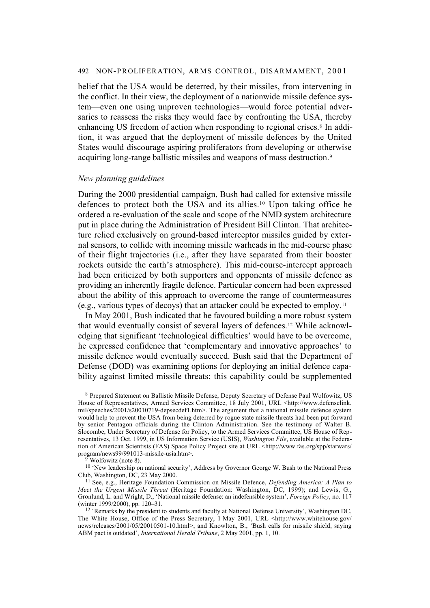belief that the USA would be deterred, by their missiles, from intervening in the conflict. In their view, the deployment of a nationwide missile defence system—even one using unproven technologies—would force potential adversaries to reassess the risks they would face by confronting the USA, thereby enhancing US freedom of action when responding to regional crises.<sup>8</sup> In addition, it was argued that the deployment of missile defences by the United States would discourage aspiring proliferators from developing or otherwise acquiring long-range ballistic missiles and weapons of mass destruction.9

## *New planning guidelines*

During the 2000 presidential campaign, Bush had called for extensive missile defences to protect both the USA and its allies.10 Upon taking office he ordered a re-evaluation of the scale and scope of the NMD system architecture put in place during the Administration of President Bill Clinton. That architecture relied exclusively on ground-based interceptor missiles guided by external sensors, to collide with incoming missile warheads in the mid-course phase of their flight trajectories (i.e., after they have separated from their booster rockets outside the earth's atmosphere). This mid-course-intercept approach had been criticized by both supporters and opponents of missile defence as providing an inherently fragile defence. Particular concern had been expressed about the ability of this approach to overcome the range of countermeasures (e.g., various types of decoys) that an attacker could be expected to employ.11

In May 2001, Bush indicated that he favoured building a more robust system that would eventually consist of several layers of defences.12 While acknowledging that significant 'technological difficulties' would have to be overcome, he expressed confidence that 'complementary and innovative approaches' to missile defence would eventually succeed. Bush said that the Department of Defense (DOD) was examining options for deploying an initial defence capability against limited missile threats; this capability could be supplemented

Wolfowitz (note 8).

<sup>10</sup> 'New leadership on national security', Address by Governor George W. Bush to the National Press Club, Washington, DC, 23 May 2000.

<sup>8</sup> Prepared Statement on Ballistic Missile Defense, Deputy Secretary of Defense Paul Wolfowitz, US House of Representatives, Armed Services Committee, 18 July 2001, URL <http://www.defenselink. mil/speeches/2001/s20010719-depsecdef1.htm>. The argument that a national missile defence system would help to prevent the USA from being deterred by rogue state missile threats had been put forward by senior Pentagon officials during the Clinton Administration. See the testimony of Walter B. Slocombe, Under Secretary of Defense for Policy, to the Armed Services Committee, US House of Representatives, 13 Oct. 1999, in US Information Service (USIS), *Washington File*, available at the Federation of American Scientists (FAS) Space Policy Project site at URL <http://www.fas.org/spp/starwars/ program/news99/991013-missile-usia.htm>.

<sup>11</sup> See, e.g., Heritage Foundation Commission on Missile Defence, *Defending America: A Plan to Meet the Urgent Missile Threat* (Heritage Foundation: Washington, DC, 1999); and Lewis, G., Gronlund, L. and Wright, D., 'National missile defense: an indefensible system', *Foreign Policy*, no. 117 (winter 1999/2000), pp. 120–31.

<sup>&</sup>lt;sup>12</sup> 'Remarks by the president to students and faculty at National Defense University', Washington DC, The White House, Office of the Press Secretary, 1 May 2001, URL <http://www.whitehouse.gov/ news/releases/2001/05/20010501-10.html>; and Knowlton, B., 'Bush calls for missile shield, saying ABM pact is outdated', *International Herald Tribune*, 2 May 2001, pp. 1, 10.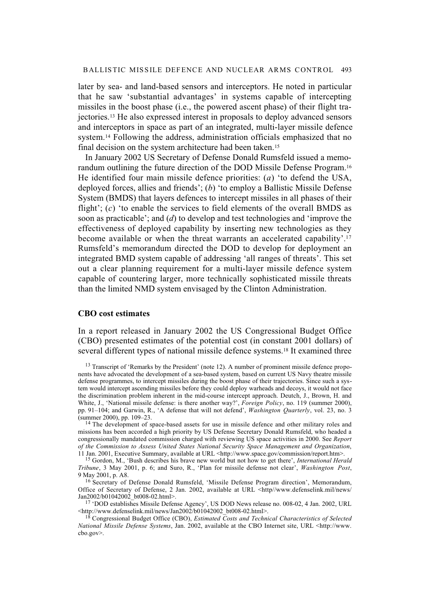later by sea- and land-based sensors and interceptors. He noted in particular that he saw 'substantial advantages' in systems capable of intercepting missiles in the boost phase (i.e., the powered ascent phase) of their flight trajectories.13 He also expressed interest in proposals to deploy advanced sensors and interceptors in space as part of an integrated, multi-layer missile defence system.<sup>14</sup> Following the address, administration officials emphasized that no final decision on the system architecture had been taken.15

In January 2002 US Secretary of Defense Donald Rumsfeld issued a memorandum outlining the future direction of the DOD Missile Defense Program.16 He identified four main missile defence priorities: (*a*) 'to defend the USA, deployed forces, allies and friends'; (*b*) 'to employ a Ballistic Missile Defense System (BMDS) that layers defences to intercept missiles in all phases of their flight'; (*c*) 'to enable the services to field elements of the overall BMDS as soon as practicable'; and (*d*) to develop and test technologies and 'improve the effectiveness of deployed capability by inserting new technologies as they become available or when the threat warrants an accelerated capability'.17 Rumsfeld's memorandum directed the DOD to develop for deployment an integrated BMD system capable of addressing 'all ranges of threats'. This set out a clear planning requirement for a multi-layer missile defence system capable of countering larger, more technically sophisticated missile threats than the limited NMD system envisaged by the Clinton Administration.

## **CBO cost estimates**

In a report released in January 2002 the US Congressional Budget Office (CBO) presented estimates of the potential cost (in constant 2001 dollars) of several different types of national missile defence systems.18 It examined three

<sup>13</sup> Transcript of 'Remarks by the President' (note 12). A number of prominent missile defence proponents have advocated the development of a sea-based system, based on current US Navy theatre missile defense programmes, to intercept missiles during the boost phase of their trajectories. Since such a system would intercept ascending missiles before they could deploy warheads and decoys, it would not face the discrimination problem inherent in the mid-course intercept approach. Deutch, J., Brown, H. and White, J., 'National missile defense: is there another way?', *Foreign Policy*, no. 119 (summer 2000), pp. 91–104; and Garwin, R., 'A defense that will not defend', *Washington Quarterly*, vol. 23, no. 3 (summer 2000), pp. 109–23.

<sup>14</sup> The development of space-based assets for use in missile defence and other military roles and missions has been accorded a high priority by US Defense Secretary Donald Rumsfeld, who headed a congressionally mandated commission charged with reviewing US space activities in 2000. See *Report of the Commission to Assess United States National Security Space Management and Organization*, 11 Jan. 2001, Executive Summary, available at URL <http://www.space.gov/commission/report.htm>.

15 Gordon, M., 'Bush describes his brave new world but not how to get there', *International Herald Tribune*, 3 May 2001, p. 6; and Suro, R., 'Plan for missile defense not clear', *Washington Post*, 9 May 2001, p. A8.

<sup>16</sup> Secretary of Defense Donald Rumsfeld, 'Missile Defense Program direction', Memorandum, Office of Secretary of Defense, 2 Jan. 2002, available at URL <http//www.defenselink.mil/news/ Jan2002/b01042002\_bt008-02.html>.

<sup>17</sup> 'DOD establishes Missile Defense Agency', US DOD News release no. 008-02, 4 Jan. 2002, URL  $\leq$ http://www.defenselink.mil/news/Jan2002/b01042002\_bt008-02.html>.

18 Congressional Budget Office (CBO), *Estimated Costs and Technical Characteristics of Selected National Missile Defense Systems*, Jan. 2002, available at the CBO Internet site, URL <http://www. cbo.gov>.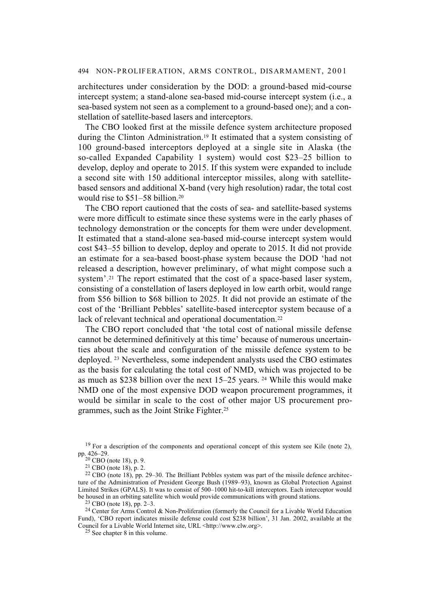architectures under consideration by the DOD: a ground-based mid-course intercept system; a stand-alone sea-based mid-course intercept system (i.e., a sea-based system not seen as a complement to a ground-based one); and a constellation of satellite-based lasers and interceptors.

The CBO looked first at the missile defence system architecture proposed during the Clinton Administration.19 It estimated that a system consisting of 100 ground-based interceptors deployed at a single site in Alaska (the so-called Expanded Capability 1 system) would cost \$23–25 billion to develop, deploy and operate to 2015. If this system were expanded to include a second site with 150 additional interceptor missiles, along with satellitebased sensors and additional X-band (very high resolution) radar, the total cost would rise to \$51–58 billion.20

The CBO report cautioned that the costs of sea- and satellite-based systems were more difficult to estimate since these systems were in the early phases of technology demonstration or the concepts for them were under development. It estimated that a stand-alone sea-based mid-course intercept system would cost \$43–55 billion to develop, deploy and operate to 2015. It did not provide an estimate for a sea-based boost-phase system because the DOD 'had not released a description, however preliminary, of what might compose such a system'.21 The report estimated that the cost of a space-based laser system, consisting of a constellation of lasers deployed in low earth orbit, would range from \$56 billion to \$68 billion to 2025. It did not provide an estimate of the cost of the 'Brilliant Pebbles' satellite-based interceptor system because of a lack of relevant technical and operational documentation.<sup>22</sup>

The CBO report concluded that 'the total cost of national missile defense cannot be determined definitively at this time' because of numerous uncertainties about the scale and configuration of the missile defence system to be deployed. 23 Nevertheless, some independent analysts used the CBO estimates as the basis for calculating the total cost of NMD, which was projected to be as much as \$238 billion over the next 15–25 years. 24 While this would make NMD one of the most expensive DOD weapon procurement programmes, it would be similar in scale to the cost of other major US procurement programmes, such as the Joint Strike Fighter.25

 $23$  CBO (note 18), pp. 2–3.

<sup>24</sup> Center for Arms Control & Non-Proliferation (formerly the Council for a Livable World Education Fund), 'CBO report indicates missile defense could cost \$238 billion', 31 Jan. 2002, available at the Council for a Livable World Internet site, URL <http://www.clw.org>.

25 See chapter 8 in this volume.

 $19$  For a description of the components and operational concept of this system see Kile (note 2), pp. 426–29.

 $20$  CBO (note 18), p. 9.

<sup>21</sup> CBO (note 18), p. 2.

<sup>22</sup> CBO (note 18), pp. 29–30. The Brilliant Pebbles system was part of the missile defence architecture of the Administration of President George Bush (1989–93), known as Global Protection Against Limited Strikes (GPALS). It was to consist of 500–1000 hit-to-kill interceptors. Each interceptor would be housed in an orbiting satellite which would provide communications with ground stations.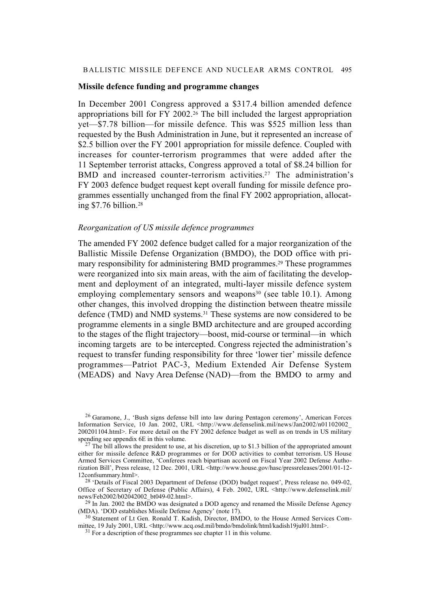## BALLISTIC MISSILE DEFENCE AND NUCLEAR ARMS CONTROL 495

## **Missile defence funding and programme changes**

In December 2001 Congress approved a \$317.4 billion amended defence appropriations bill for FY 2002.26 The bill included the largest appropriation yet—\$7.78 billion—for missile defence. This was \$525 million less than requested by the Bush Administration in June, but it represented an increase of \$2.5 billion over the FY 2001 appropriation for missile defence. Coupled with increases for counter-terrorism programmes that were added after the 11 September terrorist attacks, Congress approved a total of \$8.24 billion for BMD and increased counter-terrorism activities.<sup>27</sup> The administration's FY 2003 defence budget request kept overall funding for missile defence programmes essentially unchanged from the final FY 2002 appropriation, allocating \$7.76 billion.28

## *Reorganization of US missile defence programmes*

The amended FY 2002 defence budget called for a major reorganization of the Ballistic Missile Defense Organization (BMDO), the DOD office with primary responsibility for administering BMD programmes.<sup>29</sup> These programmes were reorganized into six main areas, with the aim of facilitating the development and deployment of an integrated, multi-layer missile defence system employing complementary sensors and weapons $30$  (see table 10.1). Among other changes, this involved dropping the distinction between theatre missile defence (TMD) and NMD systems.31 These systems are now considered to be programme elements in a single BMD architecture and are grouped according to the stages of the flight trajectory—boost, mid-course or terminal—in which incoming targets are to be intercepted. Congress rejected the administration's request to transfer funding responsibility for three 'lower tier' missile defence programmes—Patriot PAC-3, Medium Extended Air Defense System (MEADS) and Navy Area Defense (NAD)—from the BMDO to army and

<sup>26</sup> Garamone, J., 'Bush signs defense bill into law during Pentagon ceremony', American Forces Information Service, 10 Jan. 2002, URL <http://www.defenselink.mil/news/Jan2002/n01102002\_ 200201104.html>. For more detail on the FY 2002 defence budget as well as on trends in US military spending see appendix 6E in this volume.

 $27$  The bill allows the president to use, at his discretion, up to \$1.3 billion of the appropriated amount either for missile defence R&D programmes or for DOD activities to combat terrorism. US House Armed Services Committee, 'Conferees reach bipartisan accord on Fiscal Year 2002 Defense Authorization Bill', Press release, 12 Dec. 2001, URL <http://www.house.gov/hasc/pressreleases/2001/01-12- 12confsummary.html>.

<sup>&</sup>lt;sup>28</sup> 'Details of Fiscal 2003 Department of Defense (DOD) budget request', Press release no. 049-02, Office of Secretary of Defense (Public Affairs), 4 Feb. 2002, URL <http://www.defenselink.mil/ news/Feb2002/b02042002\_bt049-02.html>.

 $^{29}$  In Jan. 2002 the BMDO was designated a DOD agency and renamed the Missile Defense Agency (MDA). 'DOD establishes Missile Defense Agency' (note 17).

<sup>30</sup> Statement of Lt Gen. Ronald T. Kadish, Director, BMDO, to the House Armed Services Committee, 19 July 2001, URL <http://www.acq.osd.mil/bmdo/bmdolink/html/kadish19jul01.html>.

 $31$  For a description of these programmes see chapter 11 in this volume.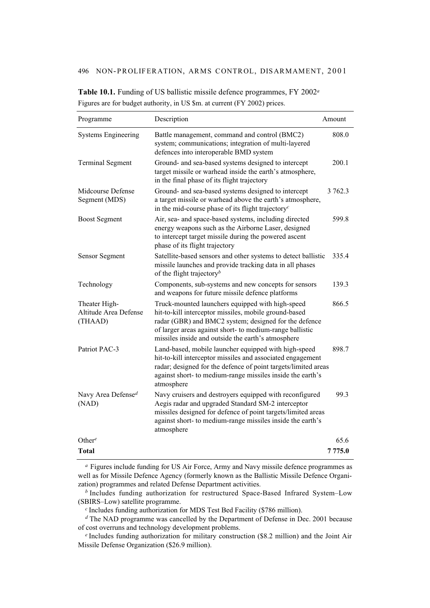| Programme                                         | Description                                                                                                                                                                                                                                                                          | Amount  |
|---------------------------------------------------|--------------------------------------------------------------------------------------------------------------------------------------------------------------------------------------------------------------------------------------------------------------------------------------|---------|
| <b>Systems Engineering</b>                        | Battle management, command and control (BMC2)<br>system; communications; integration of multi-layered<br>defences into interoperable BMD system                                                                                                                                      | 808.0   |
| <b>Terminal Segment</b>                           | Ground- and sea-based systems designed to intercept<br>target missile or warhead inside the earth's atmosphere,<br>in the final phase of its flight trajectory                                                                                                                       | 200.1   |
| Midcourse Defense<br>Segment (MDS)                | Ground- and sea-based systems designed to intercept<br>a target missile or warhead above the earth's atmosphere,<br>in the mid-course phase of its flight trajectory <sup>c</sup>                                                                                                    | 3 762.3 |
| <b>Boost Segment</b>                              | Air, sea- and space-based systems, including directed<br>energy weapons such as the Airborne Laser, designed<br>to intercept target missile during the powered ascent<br>phase of its flight trajectory                                                                              | 599.8   |
| Sensor Segment                                    | Satellite-based sensors and other systems to detect ballistic<br>missile launches and provide tracking data in all phases<br>of the flight trajectory <sup>b</sup>                                                                                                                   | 335.4   |
| Technology                                        | Components, sub-systems and new concepts for sensors<br>and weapons for future missile defence platforms                                                                                                                                                                             | 139.3   |
| Theater High-<br>Altitude Area Defense<br>(THAAD) | Truck-mounted launchers equipped with high-speed<br>hit-to-kill interceptor missiles, mobile ground-based<br>radar (GBR) and BMC2 system; designed for the defence<br>of larger areas against short- to medium-range ballistic<br>missiles inside and outside the earth's atmosphere | 866.5   |
| Patriot PAC-3                                     | Land-based, mobile launcher equipped with high-speed<br>hit-to-kill interceptor missiles and associated engagement<br>radar; designed for the defence of point targets/limited areas<br>against short- to medium-range missiles inside the earth's<br>atmosphere                     | 898.7   |
| Navy Area Defensed<br>(NAD)                       | Navy cruisers and destroyers equipped with reconfigured<br>Aegis radar and upgraded Standard SM-2 interceptor<br>missiles designed for defence of point targets/limited areas<br>against short- to medium-range missiles inside the earth's<br>atmosphere                            | 99.3    |
| Other <sup>e</sup>                                |                                                                                                                                                                                                                                                                                      | 65.6    |
| Total                                             |                                                                                                                                                                                                                                                                                      | 7775.0  |

**Table 10.1.** Funding of US ballistic missile defence programmes, FY 2002*<sup>a</sup>* Figures are for budget authority, in US \$m. at current (FY 2002) prices.

*<sup>a</sup>* Figures include funding for US Air Force, Army and Navy missile defence programmes as well as for Missile Defence Agency (formerly known as the Ballistic Missile Defence Organization) programmes and related Defense Department activities.

*<sup>b</sup>* Includes funding authorization for restructured Space-Based Infrared System–Low (SBIRS–Low) satellite programme.

*<sup>c</sup>* Includes funding authorization for MDS Test Bed Facility (\$786 million).

*<sup>d</sup>* The NAD programme was cancelled by the Department of Defense in Dec. 2001 because of cost overruns and technology development problems.

*<sup>e</sup>* Includes funding authorization for military construction (\$8.2 million) and the Joint Air Missile Defense Organization (\$26.9 million).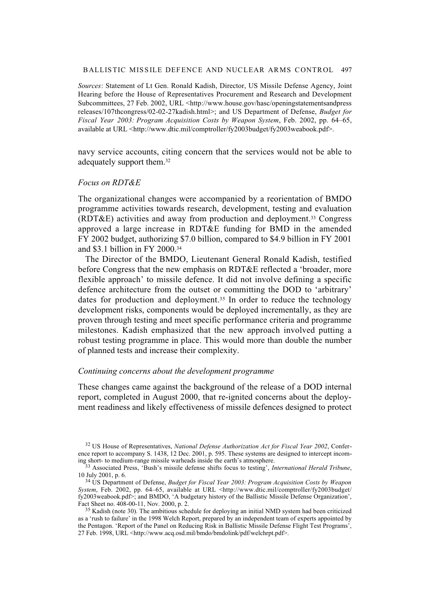#### BALLISTIC MISSILE DEFENCE AND NUCLEAR ARMS CONTROL 497

*Sources*: Statement of Lt Gen. Ronald Kadish, Director, US Missile Defense Agency, Joint Hearing before the House of Representatives Procurement and Research and Development Subcommittees, 27 Feb. 2002, URL <http://www.house.gov/hasc/openingstatementsandpress releases/107thcongress/02-02-27kadish.html>; and US Department of Defense, *Budget for Fiscal Year 2003: Program Acquisition Costs by Weapon System*, Feb. 2002, pp. 64–65, available at URL <http://www.dtic.mil/comptroller/fy2003budget/fy2003weabook.pdf>.

navy service accounts, citing concern that the services would not be able to adequately support them.32

## *Focus on RDT&E*

The organizational changes were accompanied by a reorientation of BMDO programme activities towards research, development, testing and evaluation (RDT&E) activities and away from production and deployment.33 Congress approved a large increase in RDT&E funding for BMD in the amended FY 2002 budget, authorizing \$7.0 billion, compared to \$4.9 billion in FY 2001 and \$3.1 billion in FY 2000.34

The Director of the BMDO, Lieutenant General Ronald Kadish, testified before Congress that the new emphasis on RDT&E reflected a 'broader, more flexible approach' to missile defence. It did not involve defining a specific defence architecture from the outset or committing the DOD to 'arbitrary' dates for production and deployment.<sup>35</sup> In order to reduce the technology development risks, components would be deployed incrementally, as they are proven through testing and meet specific performance criteria and programme milestones. Kadish emphasized that the new approach involved putting a robust testing programme in place. This would more than double the number of planned tests and increase their complexity.

## *Continuing concerns about the development programme*

These changes came against the background of the release of a DOD internal report, completed in August 2000, that re-ignited concerns about the deployment readiness and likely effectiveness of missile defences designed to protect

<sup>32</sup> US House of Representatives, *National Defense Authorization Act for Fiscal Year 2002*, Conference report to accompany S. 1438, 12 Dec. 2001, p. 595. These systems are designed to intercept incoming short- to medium-range missile warheads inside the earth's atmosphere.

<sup>33</sup> Associated Press, 'Bush's missile defense shifts focus to testing', *International Herald Tribune*, 10 July 2001, p. 6.

<sup>34</sup> US Department of Defense, *Budget for Fiscal Year 2003: Program Acquisition Costs by Weapon System*, Feb. 2002, pp. 64–65, available at URL <http://www.dtic.mil/comptroller/fy2003budget/ fy2003weabook.pdf>; and BMDO, 'A budgetary history of the Ballistic Missile Defense Organization', Fact Sheet no. 408-00-11, Nov. 2000, p. 2.

<sup>&</sup>lt;sup>35</sup> Kadish (note 30). The ambitious schedule for deploying an initial NMD system had been criticized as a 'rush to failure' in the 1998 Welch Report, prepared by an independent team of experts appointed by the Pentagon. 'Report of the Panel on Reducing Risk in Ballistic Missile Defense Flight Test Programs', 27 Feb. 1998, URL <http://www.acq.osd.mil/bmdo/bmdolink/pdf/welchrpt.pdf>.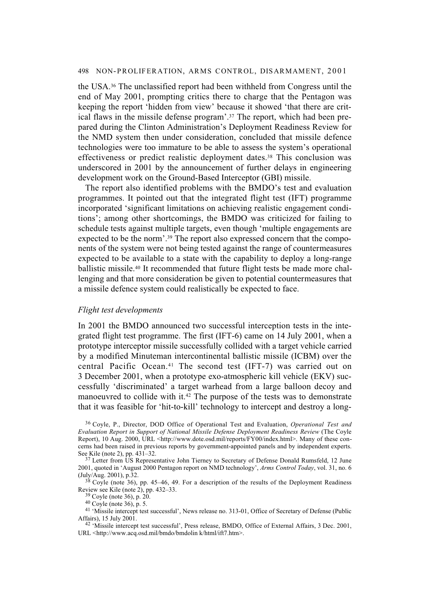the USA.36 The unclassified report had been withheld from Congress until the end of May 2001, prompting critics there to charge that the Pentagon was keeping the report 'hidden from view' because it showed 'that there are critical flaws in the missile defense program'.37 The report, which had been prepared during the Clinton Administration's Deployment Readiness Review for the NMD system then under consideration, concluded that missile defence technologies were too immature to be able to assess the system's operational effectiveness or predict realistic deployment dates.38 This conclusion was underscored in 2001 by the announcement of further delays in engineering development work on the Ground-Based Interceptor (GBI) missile.

The report also identified problems with the BMDO's test and evaluation programmes. It pointed out that the integrated flight test (IFT) programme incorporated 'significant limitations on achieving realistic engagement conditions'; among other shortcomings, the BMDO was criticized for failing to schedule tests against multiple targets, even though 'multiple engagements are expected to be the norm'.39 The report also expressed concern that the components of the system were not being tested against the range of countermeasures expected to be available to a state with the capability to deploy a long-range ballistic missile.40 It recommended that future flight tests be made more challenging and that more consideration be given to potential countermeasures that a missile defence system could realistically be expected to face.

#### *Flight test developments*

In 2001 the BMDO announced two successful interception tests in the integrated flight test programme. The first (IFT-6) came on 14 July 2001, when a prototype interceptor missile successfully collided with a target vehicle carried by a modified Minuteman intercontinental ballistic missile (ICBM) over the central Pacific Ocean.41 The second test (IFT-7) was carried out on 3 December 2001, when a prototype exo-atmospheric kill vehicle (EKV) successfully 'discriminated' a target warhead from a large balloon decoy and manoeuvred to collide with it.42 The purpose of the tests was to demonstrate that it was feasible for 'hit-to-kill' technology to intercept and destroy a long-

<sup>36</sup> Coyle, P., Director, DOD Office of Operational Test and Evaluation, *Operational Test and Evaluation Report in Support of National Missile Defense Deployment Readiness Review* (The Coyle Report), 10 Aug. 2000, URL <http://www.dote.osd.mil/reports/FY00/index.html>. Many of these concerns had been raised in previous reports by government-appointed panels and by independent experts. See Kile (note 2), pp. 431–32.

<sup>&</sup>lt;sup>37</sup> Letter from US Representative John Tierney to Secretary of Defense Donald Rumsfeld, 12 June 2001, quoted in 'August 2000 Pentagon report on NMD technology', *Arms Control Today*, vol. 31, no. 6 (July/Aug. 2001), p.32.

 $38$  Coyle (note 36), pp. 45–46, 49. For a description of the results of the Deployment Readiness Review see Kile (note 2), pp. 432–33.

<sup>39</sup> Coyle (note 36), p. 20.

<sup>40</sup> Coyle (note 36), p. 5.

<sup>&</sup>lt;sup>41</sup> 'Missile intercept test successful', News release no. 313-01, Office of Secretary of Defense (Public Affairs), 15 July 2001.

<sup>&</sup>lt;sup>42</sup> 'Missile intercept test successful', Press release, BMDO, Office of External Affairs, 3 Dec. 2001, URL <http://www.acq.osd.mil/bmdo/bmdolin k/html/ift7.htm>.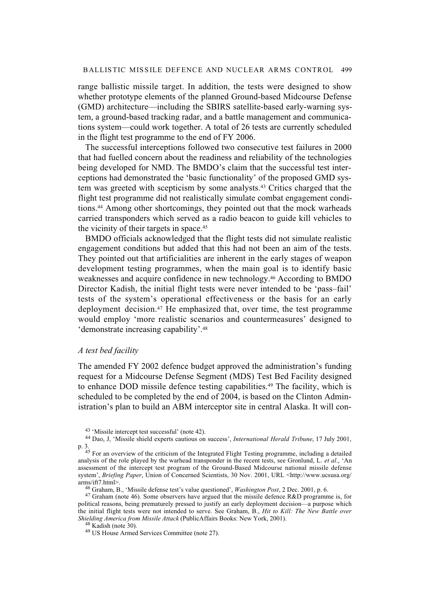range ballistic missile target. In addition, the tests were designed to show whether prototype elements of the planned Ground-based Midcourse Defense (GMD) architecture—including the SBIRS satellite-based early-warning system, a ground-based tracking radar, and a battle management and communications system—could work together. A total of 26 tests are currently scheduled in the flight test programme to the end of FY 2006.

The successful interceptions followed two consecutive test failures in 2000 that had fuelled concern about the readiness and reliability of the technologies being developed for NMD. The BMDO's claim that the successful test interceptions had demonstrated the 'basic functionality' of the proposed GMD system was greeted with scepticism by some analysts.43 Critics charged that the flight test programme did not realistically simulate combat engagement conditions.44 Among other shortcomings, they pointed out that the mock warheads carried transponders which served as a radio beacon to guide kill vehicles to the vicinity of their targets in space.45

BMDO officials acknowledged that the flight tests did not simulate realistic engagement conditions but added that this had not been an aim of the tests. They pointed out that artificialities are inherent in the early stages of weapon development testing programmes, when the main goal is to identify basic weaknesses and acquire confidence in new technology.46 According to BMDO Director Kadish, the initial flight tests were never intended to be 'pass–fail' tests of the system's operational effectiveness or the basis for an early deployment decision.47 He emphasized that, over time, the test programme would employ 'more realistic scenarios and countermeasures' designed to 'demonstrate increasing capability'.48

#### *A test bed facility*

The amended FY 2002 defence budget approved the administration's funding request for a Midcourse Defense Segment (MDS) Test Bed Facility designed to enhance DOD missile defence testing capabilities.49 The facility, which is scheduled to be completed by the end of 2004, is based on the Clinton Administration's plan to build an ABM interceptor site in central Alaska. It will con-

<sup>43 &#</sup>x27;Missile intercept test successful' (note 42).

<sup>44</sup> Dao, J, 'Missile shield experts cautious on success', *International Herald Tribune*, 17 July 2001, p. 3.

<sup>45</sup> For an overview of the criticism of the Integrated Flight Testing programme, including a detailed analysis of the role played by the warhead transponder in the recent tests, see Gronlund, L. *et al*., 'An assessment of the intercept test program of the Ground-Based Midcourse national missile defense system', *Briefing Paper*, Union of Concerned Scientists, 30 Nov. 2001, URL <http://www.ucsusa.org/ arms/ift7.html>.

<sup>46</sup> Graham, B., 'Missile defense test's value questioned', *Washington Post*, 2 Dec. 2001, p. 6.

 $47$  Graham (note 46). Some observers have argued that the missile defence R&D programme is, for political reasons, being prematurely pressed to justify an early deployment decision—a purpose which the initial flight tests were not intended to serve. See Graham, B., *Hit to Kill: The New Battle over Shielding America from Missile Attack* (PublicAffairs Books: New York, 2001).

<sup>48</sup> Kadish (note 30).

<sup>49</sup> US House Armed Services Committee (note 27).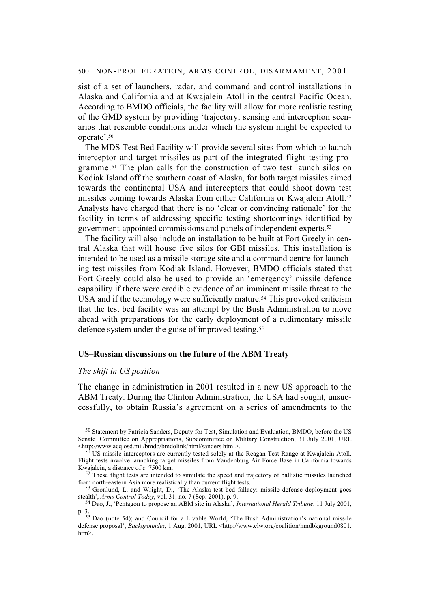sist of a set of launchers, radar, and command and control installations in Alaska and California and at Kwajalein Atoll in the central Pacific Ocean. According to BMDO officials, the facility will allow for more realistic testing of the GMD system by providing 'trajectory, sensing and interception scenarios that resemble conditions under which the system might be expected to operate'.50

The MDS Test Bed Facility will provide several sites from which to launch interceptor and target missiles as part of the integrated flight testing programme.51 The plan calls for the construction of two test launch silos on Kodiak Island off the southern coast of Alaska, for both target missiles aimed towards the continental USA and interceptors that could shoot down test missiles coming towards Alaska from either California or Kwajalein Atoll.52 Analysts have charged that there is no 'clear or convincing rationale' for the facility in terms of addressing specific testing shortcomings identified by government-appointed commissions and panels of independent experts.53

The facility will also include an installation to be built at Fort Greely in central Alaska that will house five silos for GBI missiles. This installation is intended to be used as a missile storage site and a command centre for launching test missiles from Kodiak Island. However, BMDO officials stated that Fort Greely could also be used to provide an 'emergency' missile defence capability if there were credible evidence of an imminent missile threat to the USA and if the technology were sufficiently mature.<sup>54</sup> This provoked criticism that the test bed facility was an attempt by the Bush Administration to move ahead with preparations for the early deployment of a rudimentary missile defence system under the guise of improved testing.55

## **US–Russian discussions on the future of the ABM Treaty**

## *The shift in US position*

The change in administration in 2001 resulted in a new US approach to the ABM Treaty. During the Clinton Administration, the USA had sought, unsuccessfully, to obtain Russia's agreement on a series of amendments to the

<sup>50</sup> Statement by Patricia Sanders, Deputy for Test, Simulation and Evaluation, BMDO, before the US Senate Committee on Appropriations, Subcommittee on Military Construction, 31 July 2001, URL <http://www.acq.osd.mil/bmdo/bmdolink/html/sanders html>.

<sup>&</sup>lt;sup>51</sup> US missile interceptors are currently tested solely at the Reagan Test Range at Kwajalein Atoll. Flight tests involve launching target missiles from Vandenburg Air Force Base in California towards Kwajalein, a distance of *c*. 7500 km.

 $52$ <sup>52</sup> These flight tests are intended to simulate the speed and trajectory of ballistic missiles launched from north-eastern Asia more realistically than current flight tests.

<sup>53</sup> Gronlund, L. and Wright, D., 'The Alaska test bed fallacy: missile defense deployment goes stealth', *Arms Control Today*, vol. 31, no. 7 (Sep. 2001), p. 9.

<sup>54</sup> Dao, J., 'Pentagon to propose an ABM site in Alaska', *International Herald Tribune*, 11 July 2001, p. 3.

<sup>55</sup> Dao (note 54); and Council for a Livable World, 'The Bush Administration's national missile defense proposal', *Backgrounde*r, 1 Aug. 2001, URL <http://www.clw.org/coalition/nmdbkground0801. htm>.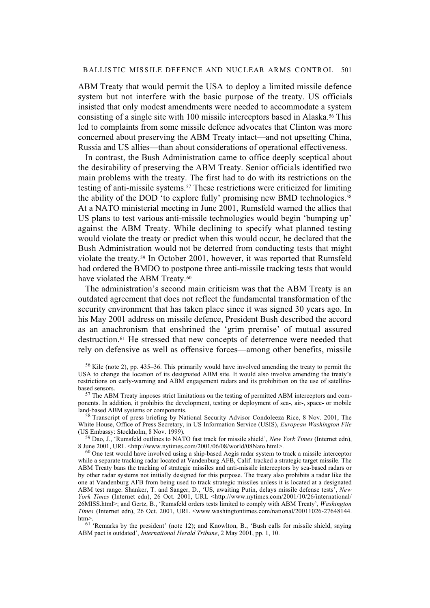ABM Treaty that would permit the USA to deploy a limited missile defence system but not interfere with the basic purpose of the treaty. US officials insisted that only modest amendments were needed to accommodate a system consisting of a single site with 100 missile interceptors based in Alaska.56 This led to complaints from some missile defence advocates that Clinton was more concerned about preserving the ABM Treaty intact—and not upsetting China, Russia and US allies—than about considerations of operational effectiveness.

In contrast, the Bush Administration came to office deeply sceptical about the desirability of preserving the ABM Treaty. Senior officials identified two main problems with the treaty. The first had to do with its restrictions on the testing of anti-missile systems.57 These restrictions were criticized for limiting the ability of the DOD 'to explore fully' promising new BMD technologies.<sup>58</sup> At a NATO ministerial meeting in June 2001, Rumsfeld warned the allies that US plans to test various anti-missile technologies would begin 'bumping up' against the ABM Treaty. While declining to specify what planned testing would violate the treaty or predict when this would occur, he declared that the Bush Administration would not be deterred from conducting tests that might violate the treaty.59 In October 2001, however, it was reported that Rumsfeld had ordered the BMDO to postpone three anti-missile tracking tests that would have violated the ABM Treaty.<sup>60</sup>

The administration's second main criticism was that the ABM Treaty is an outdated agreement that does not reflect the fundamental transformation of the security environment that has taken place since it was signed 30 years ago. In his May 2001 address on missile defence, President Bush described the accord as an anachronism that enshrined the 'grim premise' of mutual assured destruction.61 He stressed that new concepts of deterrence were needed that rely on defensive as well as offensive forces—among other benefits, missile

56 Kile (note 2), pp. 435–36. This primarily would have involved amending the treaty to permit the USA to change the location of its designated ABM site. It would also involve amending the treaty's restrictions on early-warning and ABM engagement radars and its prohibition on the use of satellitebased sensors.

<sup>57</sup> The ABM Treaty imposes strict limitations on the testing of permitted ABM interceptors and components. In addition, it prohibits the development, testing or deployment of sea-, air-, space- or mobile land-based ABM systems or components.

 $58$  Transcript of press briefing by National Security Advisor Condoleeza Rice, 8 Nov. 2001, The White House, Office of Press Secretary, in US Information Service (USIS), *European Washington File* (US Embassy: Stockholm, 8 Nov. 1999).

59 Dao, J., 'Rumsfeld outlines to NATO fast track for missile shield', *New York Times* (Internet edn), 8 June 2001, URL <http://www.nytimes.com/2001/06/08/world/08Nato.html>.

<sup>60</sup> One test would have involved using a ship-based Aegis radar system to track a missile interceptor while a separate tracking radar located at Vandenburg AFB, Calif. tracked a strategic target missile. The ABM Treaty bans the tracking of strategic missiles and anti-missile interceptors by sea-based radars or by other radar systems not initially designed for this purpose. The treaty also prohibits a radar like the one at Vandenburg AFB from being used to track strategic missiles unless it is located at a designated ABM test range. Shanker, T. and Sanger, D., 'US, awaiting Putin, delays missile defense tests', *New York Times* (Internet edn), 26 Oct. 2001, URL <http://www.nytimes.com/2001/10/26/international/ 26MISS.html>; and Gertz, B., 'Rumsfeld orders tests limited to comply with ABM Treaty', *Washington Times* (Internet edn), 26 Oct. 2001, URL <www.washingtontimes.com/national/20011026-27648144. htm>.

<sup>61</sup> 'Remarks by the president' (note 12); and Knowlton, B., 'Bush calls for missile shield, saying ABM pact is outdated', *International Herald Tribune*, 2 May 2001, pp. 1, 10.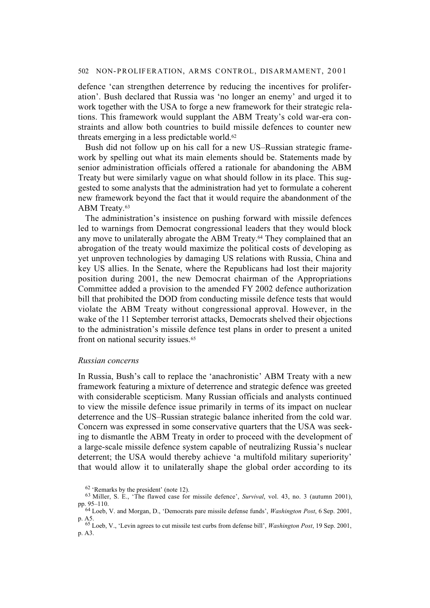defence 'can strengthen deterrence by reducing the incentives for proliferation'. Bush declared that Russia was 'no longer an enemy' and urged it to work together with the USA to forge a new framework for their strategic relations. This framework would supplant the ABM Treaty's cold war-era constraints and allow both countries to build missile defences to counter new threats emerging in a less predictable world.62

Bush did not follow up on his call for a new US–Russian strategic framework by spelling out what its main elements should be. Statements made by senior administration officials offered a rationale for abandoning the ABM Treaty but were similarly vague on what should follow in its place. This suggested to some analysts that the administration had yet to formulate a coherent new framework beyond the fact that it would require the abandonment of the ABM Treaty.<sup>63</sup>

The administration's insistence on pushing forward with missile defences led to warnings from Democrat congressional leaders that they would block any move to unilaterally abrogate the ABM Treaty.64 They complained that an abrogation of the treaty would maximize the political costs of developing as yet unproven technologies by damaging US relations with Russia, China and key US allies. In the Senate, where the Republicans had lost their majority position during 2001, the new Democrat chairman of the Appropriations Committee added a provision to the amended FY 2002 defence authorization bill that prohibited the DOD from conducting missile defence tests that would violate the ABM Treaty without congressional approval. However, in the wake of the 11 September terrorist attacks, Democrats shelved their objections to the administration's missile defence test plans in order to present a united front on national security issues.<sup>65</sup>

## *Russian concerns*

In Russia, Bush's call to replace the 'anachronistic' ABM Treaty with a new framework featuring a mixture of deterrence and strategic defence was greeted with considerable scepticism. Many Russian officials and analysts continued to view the missile defence issue primarily in terms of its impact on nuclear deterrence and the US–Russian strategic balance inherited from the cold war. Concern was expressed in some conservative quarters that the USA was seeking to dismantle the ABM Treaty in order to proceed with the development of a large-scale missile defence system capable of neutralizing Russia's nuclear deterrent; the USA would thereby achieve 'a multifold military superiority' that would allow it to unilaterally shape the global order according to its

<sup>62 &#</sup>x27;Remarks by the president' (note 12).

<sup>63</sup> Miller, S. E., 'The flawed case for missile defence', *Survival*, vol. 43, no. 3 (autumn 2001), pp. 95–110.

<sup>64</sup> Loeb, V. and Morgan, D., 'Democrats pare missile defense funds', *Washington Post*, 6 Sep. 2001, p. A5.

<sup>65</sup> Loeb, V., 'Levin agrees to cut missile test curbs from defense bill', *Washington Post*, 19 Sep. 2001, p. A3.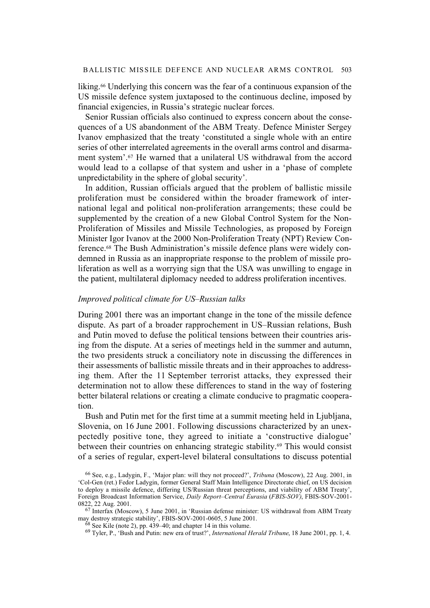liking.66 Underlying this concern was the fear of a continuous expansion of the US missile defence system juxtaposed to the continuous decline, imposed by financial exigencies, in Russia's strategic nuclear forces.

Senior Russian officials also continued to express concern about the consequences of a US abandonment of the ABM Treaty. Defence Minister Sergey Ivanov emphasized that the treaty 'constituted a single whole with an entire series of other interrelated agreements in the overall arms control and disarmament system'.67 He warned that a unilateral US withdrawal from the accord would lead to a collapse of that system and usher in a 'phase of complete unpredictability in the sphere of global security'.

In addition, Russian officials argued that the problem of ballistic missile proliferation must be considered within the broader framework of international legal and political non-proliferation arrangements; these could be supplemented by the creation of a new Global Control System for the Non-Proliferation of Missiles and Missile Technologies, as proposed by Foreign Minister Igor Ivanov at the 2000 Non-Proliferation Treaty (NPT) Review Conference.68 The Bush Administration's missile defence plans were widely condemned in Russia as an inappropriate response to the problem of missile proliferation as well as a worrying sign that the USA was unwilling to engage in the patient, multilateral diplomacy needed to address proliferation incentives.

## *Improved political climate for US–Russian talks*

During 2001 there was an important change in the tone of the missile defence dispute. As part of a broader rapprochement in US–Russian relations, Bush and Putin moved to defuse the political tensions between their countries arising from the dispute. At a series of meetings held in the summer and autumn, the two presidents struck a conciliatory note in discussing the differences in their assessments of ballistic missile threats and in their approaches to addressing them. After the 11 September terrorist attacks, they expressed their determination not to allow these differences to stand in the way of fostering better bilateral relations or creating a climate conducive to pragmatic cooperation.

Bush and Putin met for the first time at a summit meeting held in Ljubljana, Slovenia, on 16 June 2001. Following discussions characterized by an unexpectedly positive tone, they agreed to initiate a 'constructive dialogue' between their countries on enhancing strategic stability.69 This would consist of a series of regular, expert-level bilateral consultations to discuss potential

<sup>66</sup> See, e.g., Ladygin, F., 'Major plan: will they not proceed?', *Tribuna* (Moscow), 22 Aug. 2001, in 'Col-Gen (ret.) Fedor Ladygin, former General Staff Main Intelligence Directorate chief, on US decision to deploy a missile defence, differing US/Russian threat perceptions, and viability of ABM Treaty', Foreign Broadcast Information Service, *Daily Report–Central Eurasia* (*FBIS-SOV)*, FBIS-SOV-2001- 0822, 22 Aug. 2001.

 $67$  Interfax (Moscow), 5 June 2001, in 'Russian defense minister: US withdrawal from ABM Treaty may destroy strategic stability', FBIS-SOV-2001-0605, 5 June 2001.

 $68$  See Kile (note 2), pp. 439–40; and chapter 14 in this volume.

<sup>69</sup> Tyler, P., 'Bush and Putin: new era of trust?', *International Herald Tribune*, 18 June 2001, pp. 1, 4.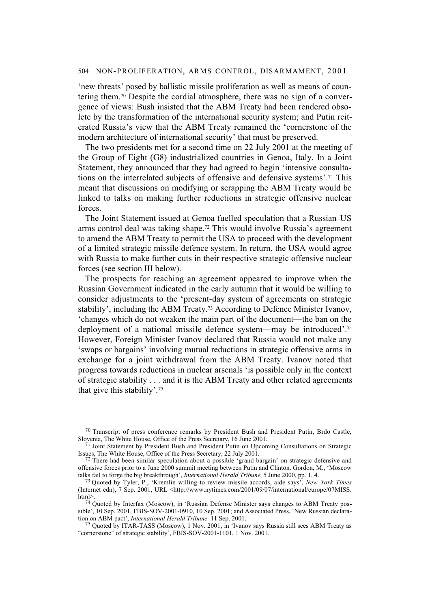'new threats' posed by ballistic missile proliferation as well as means of countering them.70 Despite the cordial atmosphere, there was no sign of a convergence of views: Bush insisted that the ABM Treaty had been rendered obsolete by the transformation of the international security system; and Putin reiterated Russia's view that the ABM Treaty remained the 'cornerstone of the modern architecture of international security' that must be preserved.

The two presidents met for a second time on 22 July 2001 at the meeting of the Group of Eight (G8) industrialized countries in Genoa, Italy. In a Joint Statement, they announced that they had agreed to begin 'intensive consultations on the interrelated subjects of offensive and defensive systems'.71 This meant that discussions on modifying or scrapping the ABM Treaty would be linked to talks on making further reductions in strategic offensive nuclear forces.

The Joint Statement issued at Genoa fuelled speculation that a Russian–US arms control deal was taking shape.72 This would involve Russia's agreement to amend the ABM Treaty to permit the USA to proceed with the development of a limited strategic missile defence system. In return, the USA would agree with Russia to make further cuts in their respective strategic offensive nuclear forces (see section III below).

The prospects for reaching an agreement appeared to improve when the Russian Government indicated in the early autumn that it would be willing to consider adjustments to the 'present-day system of agreements on strategic stability', including the ABM Treaty.73 According to Defence Minister Ivanov, 'changes which do not weaken the main part of the document—the ban on the deployment of a national missile defence system—may be introduced'.74 However, Foreign Minister Ivanov declared that Russia would not make any 'swaps or bargains' involving mutual reductions in strategic offensive arms in exchange for a joint withdrawal from the ABM Treaty. Ivanov noted that progress towards reductions in nuclear arsenals 'is possible only in the context of strategic stability . . . and it is the ABM Treaty and other related agreements that give this stability'.75

 $70$  Transcript of press conference remarks by President Bush and President Putin, Brdo Castle, Slovenia, The White House, Office of the Press Secretary, 16 June 2001.

<sup>&</sup>lt;sup>71</sup> Joint Statement by President Bush and President Putin on Upcoming Consultations on Strategic Issues, The White House, Office of the Press Secretary, 22 July 2001.

<sup>&</sup>lt;sup>72</sup> There had been similar speculation about a possible 'grand bargain' on strategic defensive and offensive forces prior to a June 2000 summit meeting between Putin and Clinton. Gordon, M., 'Moscow talks fail to forge the big breakthrough', *International Herald Tribune*, 5 June 2000, pp. 1, 4.

<sup>73</sup> Quoted by Tyler, P., 'Kremlin willing to review missile accords, aide says', *New York Times* (Internet edn), 7 Sep. 2001, URL <http://www.nytimes.com/2001/09/07/international/europe/07MISS. html>.

<sup>74</sup> Quoted by Interfax (Moscow), in 'Russian Defense Minister says changes to ABM Treaty possible', 10 Sep. 2001, FBIS-SOV-2001-0910, 10 Sep. 2001; and Associated Press, 'New Russian declaration on ABM pact', *International Herald Tribune,* 11 Sep. 2001.

<sup>75</sup> Quoted by ITAR-TASS (Moscow), 1 Nov. 2001, in 'Ivanov says Russia still sees ABM Treaty as "cornerstone" of strategic stability', FBIS-SOV-2001-1101, 1 Nov. 2001.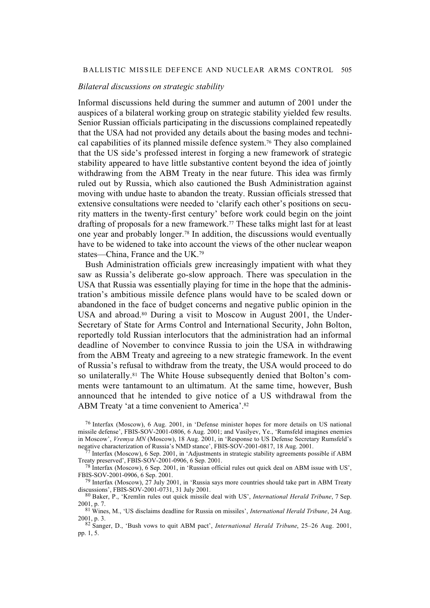## BALLISTIC MISSILE DEFENCE AND NUCLEAR ARMS CONTROL 505

## *Bilateral discussions on strategic stability*

Informal discussions held during the summer and autumn of 2001 under the auspices of a bilateral working group on strategic stability yielded few results. Senior Russian officials participating in the discussions complained repeatedly that the USA had not provided any details about the basing modes and technical capabilities of its planned missile defence system.76 They also complained that the US side's professed interest in forging a new framework of strategic stability appeared to have little substantive content beyond the idea of jointly withdrawing from the ABM Treaty in the near future. This idea was firmly ruled out by Russia, which also cautioned the Bush Administration against moving with undue haste to abandon the treaty. Russian officials stressed that extensive consultations were needed to 'clarify each other's positions on security matters in the twenty-first century' before work could begin on the joint drafting of proposals for a new framework.77 These talks might last for at least one year and probably longer.78 In addition, the discussions would eventually have to be widened to take into account the views of the other nuclear weapon states—China, France and the UK.79

Bush Administration officials grew increasingly impatient with what they saw as Russia's deliberate go-slow approach. There was speculation in the USA that Russia was essentially playing for time in the hope that the administration's ambitious missile defence plans would have to be scaled down or abandoned in the face of budget concerns and negative public opinion in the USA and abroad.<sup>80</sup> During a visit to Moscow in August 2001, the Under-Secretary of State for Arms Control and International Security, John Bolton, reportedly told Russian interlocutors that the administration had an informal deadline of November to convince Russia to join the USA in withdrawing from the ABM Treaty and agreeing to a new strategic framework. In the event of Russia's refusal to withdraw from the treaty, the USA would proceed to do so unilaterally.81 The White House subsequently denied that Bolton's comments were tantamount to an ultimatum. At the same time, however, Bush announced that he intended to give notice of a US withdrawal from the ABM Treaty 'at a time convenient to America'.82

 $77$  Interfax (Moscow), 6 Sep. 2001, in 'Adjustments in strategic stability agreements possible if ABM Treaty preserved', FBIS-SOV-2001-0906, 6 Sep. 2001.

<sup>78</sup> Interfax (Moscow), 6 Sep. 2001, in 'Russian official rules out quick deal on ABM issue with US', FBIS-SOV-2001-0906, 6 Sep. 2001.

<sup>79</sup> Interfax (Moscow), 27 July 2001, in 'Russia says more countries should take part in ABM Treaty discussions', FBIS-SOV-2001-0731, 31 July 2001.

80 Baker, P., 'Kremlin rules out quick missile deal with US', *International Herald Tribune*, 7 Sep. 2001, p. 7.

81 Wines, M., 'US disclaims deadline for Russia on missiles', *International Herald Tribune*, 24 Aug. 2001, p. 3.

82 Sanger, D., 'Bush vows to quit ABM pact', *International Herald Tribune*, 25–26 Aug. 2001, pp. 1, 5.

<sup>76</sup> Interfax (Moscow), 6 Aug. 2001, in 'Defense minister hopes for more details on US national missile defense', FBIS-SOV-2001-0806, 6 Aug. 2001; and Vasilyev, Ye., 'Rumsfeld imagines enemies in Moscow', *Vremya MN* (Moscow), 18 Aug. 2001, in 'Response to US Defense Secretary Rumsfeld's negative characterization of Russia's NMD stance', FBIS-SOV-2001-0817, 18 Aug. 2001.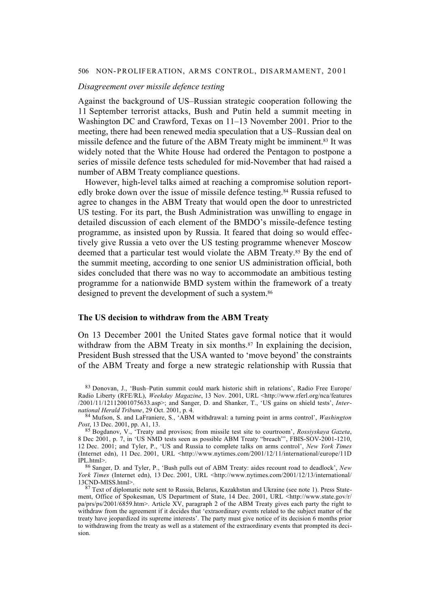#### *Disagreement over missile defence testing*

Against the background of US–Russian strategic cooperation following the 11 September terrorist attacks, Bush and Putin held a summit meeting in Washington DC and Crawford, Texas on 11–13 November 2001. Prior to the meeting, there had been renewed media speculation that a US–Russian deal on missile defence and the future of the ABM Treaty might be imminent.83 It was widely noted that the White House had ordered the Pentagon to postpone a series of missile defence tests scheduled for mid-November that had raised a number of ABM Treaty compliance questions.

However, high-level talks aimed at reaching a compromise solution reportedly broke down over the issue of missile defence testing.84 Russia refused to agree to changes in the ABM Treaty that would open the door to unrestricted US testing. For its part, the Bush Administration was unwilling to engage in detailed discussion of each element of the BMDO's missile-defence testing programme, as insisted upon by Russia. It feared that doing so would effectively give Russia a veto over the US testing programme whenever Moscow deemed that a particular test would violate the ABM Treaty.<sup>85</sup> By the end of the summit meeting, according to one senior US administration official, both sides concluded that there was no way to accommodate an ambitious testing programme for a nationwide BMD system within the framework of a treaty designed to prevent the development of such a system.<sup>86</sup>

#### **The US decision to withdraw from the ABM Treaty**

On 13 December 2001 the United States gave formal notice that it would withdraw from the ABM Treaty in six months.<sup>87</sup> In explaining the decision, President Bush stressed that the USA wanted to 'move beyond' the constraints of the ABM Treaty and forge a new strategic relationship with Russia that

<sup>83</sup> Donovan, J., 'Bush–Putin summit could mark historic shift in relations', Radio Free Europe/ Radio Liberty (RFE/RL), *Weekday Magazine*, 13 Nov. 2001, URL <http://www.rferl.org/nca/features /2001/11/12112001075633.asp>; and Sanger, D. and Shanker, T., 'US gains on shield tests', *International Herald Tribune*, 29 Oct. 2001, p. 4.

<sup>84</sup> Mufson, S. and LaFraniere, S., 'ABM withdrawal: a turning point in arms control', *Washington Post*, 13 Dec. 2001, pp. A1, 13.

<sup>85</sup> Bogdanov, V., 'Treaty and provisos; from missile test site to courtroom', *Rossiyskaya Gazeta*, 8 Dec 2001, p. 7, in 'US NMD tests seen as possible ABM Treaty "breach"', FBIS-SOV-2001-1210, 12 Dec. 2001; and Tyler, P., 'US and Russia to complete talks on arms control', *New York Times* (Internet edn), 11 Dec. 2001, URL <http://www.nytimes.com/2001/12/11/international/europe/11D IPL.html>.

<sup>86</sup> Sanger, D. and Tyler, P., 'Bush pulls out of ABM Treaty: aides recount road to deadlock', *New York Times* (Internet edn), 13 Dec. 2001, URL <http://www.nytimes.com/2001/12/13/international/ 13CND-MISS.html>.

<sup>87</sup> Text of diplomatic note sent to Russia, Belarus, Kazakhstan and Ukraine (see note 1). Press Statement, Office of Spokesman, US Department of State, 14 Dec. 2001, URL <http://www.state.gov/r/ pa/prs/ps/2001/6859.htm>. Article XV, paragraph 2 of the ABM Treaty gives each party the right to withdraw from the agreement if it decides that 'extraordinary events related to the subject matter of the treaty have jeopardized its supreme interests'. The party must give notice of its decision 6 months prior to withdrawing from the treaty as well as a statement of the extraordinary events that prompted its decision.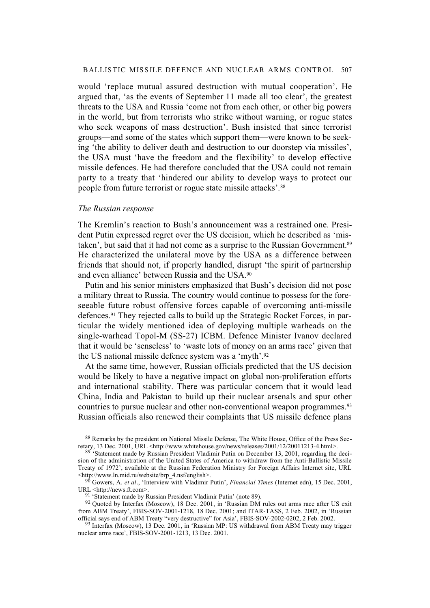would 'replace mutual assured destruction with mutual cooperation'. He argued that, 'as the events of September 11 made all too clear', the greatest threats to the USA and Russia 'come not from each other, or other big powers in the world, but from terrorists who strike without warning, or rogue states who seek weapons of mass destruction'. Bush insisted that since terrorist groups—and some of the states which support them—were known to be seeking 'the ability to deliver death and destruction to our doorstep via missiles', the USA must 'have the freedom and the flexibility' to develop effective missile defences. He had therefore concluded that the USA could not remain party to a treaty that 'hindered our ability to develop ways to protect our people from future terrorist or rogue state missile attacks'.88

## *The Russian response*

The Kremlin's reaction to Bush's announcement was a restrained one. President Putin expressed regret over the US decision, which he described as 'mistaken', but said that it had not come as a surprise to the Russian Government.89 He characterized the unilateral move by the USA as a difference between friends that should not, if properly handled, disrupt 'the spirit of partnership and even alliance' between Russia and the USA.90

Putin and his senior ministers emphasized that Bush's decision did not pose a military threat to Russia. The country would continue to possess for the foreseeable future robust offensive forces capable of overcoming anti-missile defences.91 They rejected calls to build up the Strategic Rocket Forces, in particular the widely mentioned idea of deploying multiple warheads on the single-warhead Topol-M (SS-27) ICBM. Defence Minister Ivanov declared that it would be 'senseless' to 'waste lots of money on an arms race' given that the US national missile defence system was a 'myth'.92

At the same time, however, Russian officials predicted that the US decision would be likely to have a negative impact on global non-proliferation efforts and international stability. There was particular concern that it would lead China, India and Pakistan to build up their nuclear arsenals and spur other countries to pursue nuclear and other non-conventional weapon programmes.<sup>93</sup> Russian officials also renewed their complaints that US missile defence plans

91 'Statement made by Russian President Vladimir Putin' (note 89).

<sup>92</sup> Quoted by Interfax (Moscow), 18 Dec. 2001, in 'Russian DM rules out arms race after US exit from ABM Treaty', FBIS-SOV-2001-1218, 18 Dec. 2001; and ITAR-TASS, 2 Feb. 2002, in 'Russian official says end of ABM Treaty "very destructive" for Asia', FBIS-SOV-2002-0202, 2 Feb. 2002.

93 Interfax (Moscow), 13 Dec. 2001, in 'Russian MP: US withdrawal from ABM Treaty may trigger nuclear arms race', FBIS-SOV-2001-1213, 13 Dec. 2001.

<sup>88</sup> Remarks by the president on National Missile Defense, The White House, Office of the Press Secretary, 13 Dec. 2001, URL <http://www.whitehouse.gov/news/releases/2001/12/20011213-4.html>.

<sup>89&</sup>lt;sup>'</sup> Statement made by Russian President Vladimir Putin on December 13, 2001, regarding the decision of the administration of the United States of America to withdraw from the Anti-Ballistic Missile Treaty of 1972', available at the Russian Federation Ministry for Foreign Affairs Internet site, URL <http://www.ln.mid.ru/website/brp\_4.nsf/english>.

<sup>90</sup> Gowers, A. *et al*., 'Interview with Vladimir Putin', *Financial Times* (Internet edn), 15 Dec. 2001, URL <http://news.ft.com>.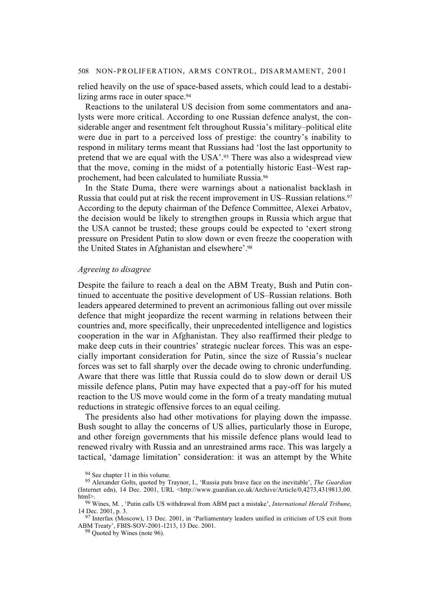relied heavily on the use of space-based assets, which could lead to a destabilizing arms race in outer space.<sup>94</sup>

Reactions to the unilateral US decision from some commentators and analysts were more critical. According to one Russian defence analyst, the considerable anger and resentment felt throughout Russia's military–political elite were due in part to a perceived loss of prestige: the country's inability to respond in military terms meant that Russians had 'lost the last opportunity to pretend that we are equal with the USA'.95 There was also a widespread view that the move, coming in the midst of a potentially historic East–West rapprochement, had been calculated to humiliate Russia.96

In the State Duma, there were warnings about a nationalist backlash in Russia that could put at risk the recent improvement in US–Russian relations.97 According to the deputy chairman of the Defence Committee, Alexei Arbatov, the decision would be likely to strengthen groups in Russia which argue that the USA cannot be trusted; these groups could be expected to 'exert strong pressure on President Putin to slow down or even freeze the cooperation with the United States in Afghanistan and elsewhere'.98

## *Agreeing to disagree*

Despite the failure to reach a deal on the ABM Treaty, Bush and Putin continued to accentuate the positive development of US–Russian relations. Both leaders appeared determined to prevent an acrimonious falling out over missile defence that might jeopardize the recent warming in relations between their countries and, more specifically, their unprecedented intelligence and logistics cooperation in the war in Afghanistan. They also reaffirmed their pledge to make deep cuts in their countries' strategic nuclear forces. This was an especially important consideration for Putin, since the size of Russia's nuclear forces was set to fall sharply over the decade owing to chronic underfunding. Aware that there was little that Russia could do to slow down or derail US missile defence plans, Putin may have expected that a pay-off for his muted reaction to the US move would come in the form of a treaty mandating mutual reductions in strategic offensive forces to an equal ceiling.

The presidents also had other motivations for playing down the impasse. Bush sought to allay the concerns of US allies, particularly those in Europe, and other foreign governments that his missile defence plans would lead to renewed rivalry with Russia and an unrestrained arms race. This was largely a tactical, 'damage limitation' consideration: it was an attempt by the White

<sup>94</sup> See chapter 11 in this volume.

<sup>95</sup> Alexander Golts, quoted by Traynor, I., 'Russia puts brave face on the inevitable', *The Guardian* (Internet edn), 14 Dec. 2001, URL <http://www.guardian.co.uk/Archive/Article/0,4273,4319813,00. html>.

<sup>96</sup> Wines, M. , 'Putin calls US withdrawal from ABM pact a mistake', *International Herald Tribune*, 14 Dec. 2001, p. 3.

<sup>&</sup>lt;sup>97</sup> Interfax (Moscow), 13 Dec. 2001, in 'Parliamentary leaders unified in criticism of US exit from ABM Treaty', FBIS-SOV-2001-1213, 13 Dec. 2001.

<sup>98</sup> Quoted by Wines (note 96).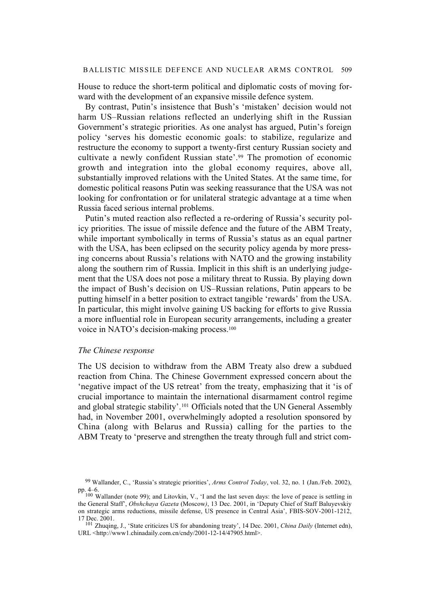## BALLISTIC MISSILE DEFENCE AND NUCLEAR ARMS CONTROL 509

House to reduce the short-term political and diplomatic costs of moving forward with the development of an expansive missile defence system.

By contrast, Putin's insistence that Bush's 'mistaken' decision would not harm US–Russian relations reflected an underlying shift in the Russian Government's strategic priorities. As one analyst has argued, Putin's foreign policy 'serves his domestic economic goals: to stabilize, regularize and restructure the economy to support a twenty-first century Russian society and cultivate a newly confident Russian state'.99 The promotion of economic growth and integration into the global economy requires, above all, substantially improved relations with the United States. At the same time, for domestic political reasons Putin was seeking reassurance that the USA was not looking for confrontation or for unilateral strategic advantage at a time when Russia faced serious internal problems.

Putin's muted reaction also reflected a re-ordering of Russia's security policy priorities. The issue of missile defence and the future of the ABM Treaty, while important symbolically in terms of Russia's status as an equal partner with the USA, has been eclipsed on the security policy agenda by more pressing concerns about Russia's relations with NATO and the growing instability along the southern rim of Russia. Implicit in this shift is an underlying judgement that the USA does not pose a military threat to Russia. By playing down the impact of Bush's decision on US–Russian relations, Putin appears to be putting himself in a better position to extract tangible 'rewards' from the USA. In particular, this might involve gaining US backing for efforts to give Russia a more influential role in European security arrangements, including a greater voice in NATO's decision-making process.100

### *The Chinese response*

The US decision to withdraw from the ABM Treaty also drew a subdued reaction from China. The Chinese Government expressed concern about the 'negative impact of the US retreat' from the treaty, emphasizing that it 'is of crucial importance to maintain the international disarmament control regime and global strategic stability'.101 Officials noted that the UN General Assembly had, in November 2001, overwhelmingly adopted a resolution sponsored by China (along with Belarus and Russia) calling for the parties to the ABM Treaty to 'preserve and strengthen the treaty through full and strict com-

<sup>99</sup> Wallander, C., 'Russia's strategic priorities', *Arms Control Today*, vol. 32, no. 1 (Jan./Feb. 2002), pp. 4–6.

<sup>100</sup> Wallander (note 99); and Litovkin, V., 'I and the last seven days: the love of peace is settling in the General Staff', *Obshchaya Gazeta* (Moscow*)*, 13 Dec. 2001, in 'Deputy Chief of Staff Baluyevskiy on strategic arms reductions, missile defense, US presence in Central Asia', FBIS-SOV-2001-1212, 17 Dec. 2001.

<sup>101</sup> Zhuqing, J., 'State criticizes US for abandoning treaty', 14 Dec. 2001, *China Daily* (Internet edn), URL <http://www1.chinadaily.com.cn/cndy/2001-12-14/47905.html>.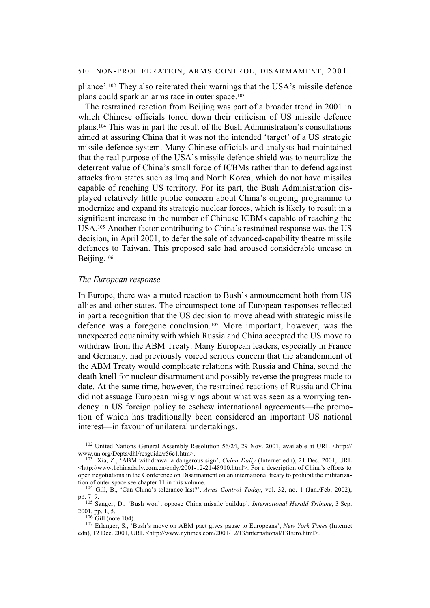pliance'.102 They also reiterated their warnings that the USA's missile defence plans could spark an arms race in outer space.103

The restrained reaction from Beijing was part of a broader trend in 2001 in which Chinese officials toned down their criticism of US missile defence plans.104 This was in part the result of the Bush Administration's consultations aimed at assuring China that it was not the intended 'target' of a US strategic missile defence system. Many Chinese officials and analysts had maintained that the real purpose of the USA's missile defence shield was to neutralize the deterrent value of China's small force of ICBMs rather than to defend against attacks from states such as Iraq and North Korea, which do not have missiles capable of reaching US territory. For its part, the Bush Administration displayed relatively little public concern about China's ongoing programme to modernize and expand its strategic nuclear forces, which is likely to result in a significant increase in the number of Chinese ICBMs capable of reaching the USA.105 Another factor contributing to China's restrained response was the US decision, in April 2001, to defer the sale of advanced-capability theatre missile defences to Taiwan. This proposed sale had aroused considerable unease in Beijing.106

#### *The European response*

In Europe, there was a muted reaction to Bush's announcement both from US allies and other states. The circumspect tone of European responses reflected in part a recognition that the US decision to move ahead with strategic missile defence was a foregone conclusion.107 More important, however, was the unexpected equanimity with which Russia and China accepted the US move to withdraw from the ABM Treaty. Many European leaders, especially in France and Germany, had previously voiced serious concern that the abandonment of the ABM Treaty would complicate relations with Russia and China, sound the death knell for nuclear disarmament and possibly reverse the progress made to date. At the same time, however, the restrained reactions of Russia and China did not assuage European misgivings about what was seen as a worrying tendency in US foreign policy to eschew international agreements—the promotion of which has traditionally been considered an important US national interest—in favour of unilateral undertakings.

<sup>102</sup> United Nations General Assembly Resolution 56/24, 29 Nov. 2001, available at URL <http:// www.un.org/Depts/dhl/resguide/r56c1.htm>.

 $^{106}$  Gill (note 104).

107 Erlanger, S., 'Bush's move on ABM pact gives pause to Europeans', *New York Times* (Internet edn), 12 Dec. 2001, URL <http://www.nytimes.com/2001/12/13/international/13Euro.html>.

<sup>103</sup> Xia, Z., 'ABM withdrawal a dangerous sign', *China Daily* (Internet edn), 21 Dec. 2001, URL <http://www.1chinadaily.com.cn/cndy/2001-12-21/48910.html>. For a description of China's efforts to open negotiations in the Conference on Disarmament on an international treaty to prohibit the militarization of outer space see chapter 11 in this volume.

<sup>104</sup> Gill, B., 'Can China's tolerance last?', *Arms Control Today*, vol. 32, no. 1 (Jan./Feb. 2002), pp. 7–9.

<sup>105</sup> Sanger, D., 'Bush won't oppose China missile buildup', *International Herald Tribune*, 3 Sep. 2001, pp. 1, 5.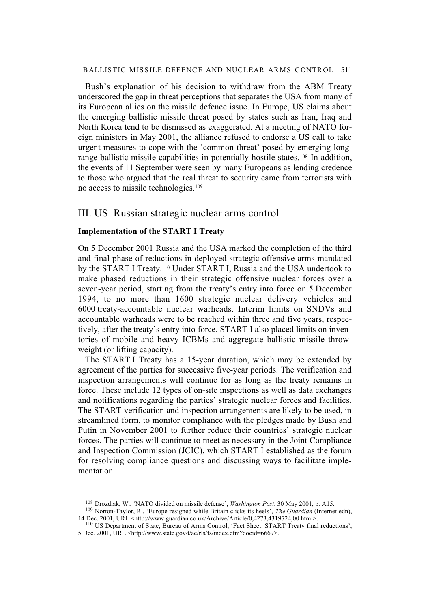#### BALLISTIC MISSILE DEFENCE AND NUCLEAR ARMS CONTROL 511

Bush's explanation of his decision to withdraw from the ABM Treaty underscored the gap in threat perceptions that separates the USA from many of its European allies on the missile defence issue. In Europe, US claims about the emerging ballistic missile threat posed by states such as Iran, Iraq and North Korea tend to be dismissed as exaggerated. At a meeting of NATO foreign ministers in May 2001, the alliance refused to endorse a US call to take urgent measures to cope with the 'common threat' posed by emerging longrange ballistic missile capabilities in potentially hostile states.108 In addition, the events of 11 September were seen by many Europeans as lending credence to those who argued that the real threat to security came from terrorists with no access to missile technologies.109

# III. US–Russian strategic nuclear arms control

## **Implementation of the START I Treaty**

On 5 December 2001 Russia and the USA marked the completion of the third and final phase of reductions in deployed strategic offensive arms mandated by the START I Treaty.110 Under START I, Russia and the USA undertook to make phased reductions in their strategic offensive nuclear forces over a seven-year period, starting from the treaty's entry into force on 5 December 1994, to no more than 1600 strategic nuclear delivery vehicles and 6000 treaty-accountable nuclear warheads. Interim limits on SNDVs and accountable warheads were to be reached within three and five years, respectively, after the treaty's entry into force. START I also placed limits on inventories of mobile and heavy ICBMs and aggregate ballistic missile throwweight (or lifting capacity).

The START I Treaty has a 15-year duration, which may be extended by agreement of the parties for successive five-year periods. The verification and inspection arrangements will continue for as long as the treaty remains in force. These include 12 types of on-site inspections as well as data exchanges and notifications regarding the parties' strategic nuclear forces and facilities. The START verification and inspection arrangements are likely to be used, in streamlined form, to monitor compliance with the pledges made by Bush and Putin in November 2001 to further reduce their countries' strategic nuclear forces. The parties will continue to meet as necessary in the Joint Compliance and Inspection Commission (JCIC), which START I established as the forum for resolving compliance questions and discussing ways to facilitate implementation.

<sup>108</sup> Drozdiak, W., 'NATO divided on missile defense', *Washington Post*, 30 May 2001, p. A15.

<sup>109</sup> Norton-Taylor, R., 'Europe resigned while Britain clicks its heels', *The Guardian* (Internet edn), 14 Dec. 2001, URL <http://www.guardian.co.uk/Archive/Article/0,4273,4319724,00.html>.

<sup>110</sup> US Department of State, Bureau of Arms Control, 'Fact Sheet: START Treaty final reductions', 5 Dec. 2001, URL <http://www.state.gov/t/ac/rls/fs/index.cfm?docid=6669>.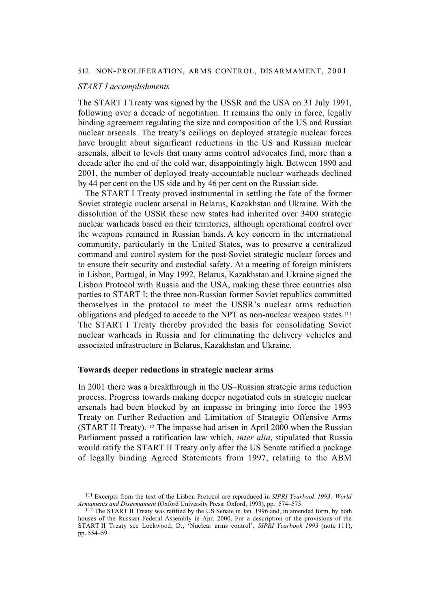#### *START I accomplishments*

The START I Treaty was signed by the USSR and the USA on 31 July 1991, following over a decade of negotiation. It remains the only in force, legally binding agreement regulating the size and composition of the US and Russian nuclear arsenals. The treaty's ceilings on deployed strategic nuclear forces have brought about significant reductions in the US and Russian nuclear arsenals, albeit to levels that many arms control advocates find, more than a decade after the end of the cold war, disappointingly high. Between 1990 and 2001, the number of deployed treaty-accountable nuclear warheads declined by 44 per cent on the US side and by 46 per cent on the Russian side.

The START I Treaty proved instrumental in settling the fate of the former Soviet strategic nuclear arsenal in Belarus, Kazakhstan and Ukraine. With the dissolution of the USSR these new states had inherited over 3400 strategic nuclear warheads based on their territories, although operational control over the weapons remained in Russian hands. A key concern in the international community, particularly in the United States, was to preserve a centralized command and control system for the post-Soviet strategic nuclear forces and to ensure their security and custodial safety. At a meeting of foreign ministers in Lisbon, Portugal, in May 1992, Belarus, Kazakhstan and Ukraine signed the Lisbon Protocol with Russia and the USA, making these three countries also parties to START I; the three non-Russian former Soviet republics committed themselves in the protocol to meet the USSR's nuclear arms reduction obligations and pledged to accede to the NPT as non-nuclear weapon states.111 The START I Treaty thereby provided the basis for consolidating Soviet nuclear warheads in Russia and for eliminating the delivery vehicles and associated infrastructure in Belarus, Kazakhstan and Ukraine.

## **Towards deeper reductions in strategic nuclear arms**

In 2001 there was a breakthrough in the US–Russian strategic arms reduction process. Progress towards making deeper negotiated cuts in strategic nuclear arsenals had been blocked by an impasse in bringing into force the 1993 Treaty on Further Reduction and Limitation of Strategic Offensive Arms (START II Treaty).112 The impasse had arisen in April 2000 when the Russian Parliament passed a ratification law which, *inter alia*, stipulated that Russia would ratify the START II Treaty only after the US Senate ratified a package of legally binding Agreed Statements from 1997, relating to the ABM

<sup>111</sup> Excerpts from the text of the Lisbon Protocol are reproduced in *SIPRI Yearbook 1993: World Armaments and Disarmament* (Oxford University Press: Oxford, 1993), pp. 574–575.

<sup>112</sup> The START II Treaty was ratified by the US Senate in Jan. 1996 and, in amended form, by both houses of the Russian Federal Assembly in Apr. 2000. For a description of the provisions of the START II Treaty see Lockwood, D., 'Nuclear arms control', *SIPRI Yearbook 1993* (note 111), pp. 554–59.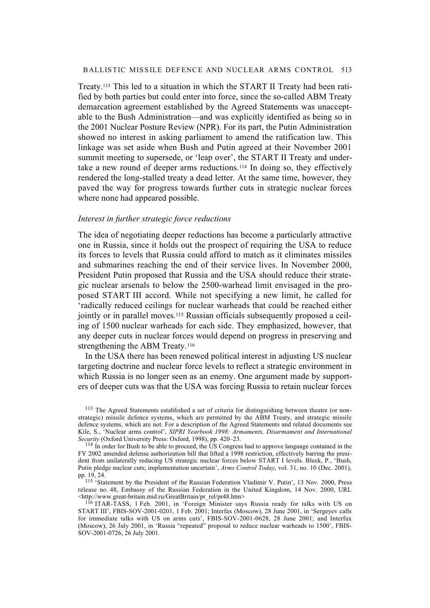Treaty.113 This led to a situation in which the START II Treaty had been ratified by both parties but could enter into force, since the so-called ABM Treaty demarcation agreement established by the Agreed Statements was unacceptable to the Bush Administration—and was explicitly identified as being so in the 2001 Nuclear Posture Review (NPR). For its part, the Putin Administration showed no interest in asking parliament to amend the ratification law. This linkage was set aside when Bush and Putin agreed at their November 2001 summit meeting to supersede, or 'leap over', the START II Treaty and undertake a new round of deeper arms reductions.114 In doing so, they effectively rendered the long-stalled treaty a dead letter. At the same time, however, they paved the way for progress towards further cuts in strategic nuclear forces where none had appeared possible.

## *Interest in further strategic force reductions*

The idea of negotiating deeper reductions has become a particularly attractive one in Russia, since it holds out the prospect of requiring the USA to reduce its forces to levels that Russia could afford to match as it eliminates missiles and submarines reaching the end of their service lives. In November 2000, President Putin proposed that Russia and the USA should reduce their strategic nuclear arsenals to below the 2500-warhead limit envisaged in the proposed START III accord. While not specifying a new limit, he called for 'radically reduced ceilings for nuclear warheads that could be reached either jointly or in parallel moves.<sup>115</sup> Russian officials subsequently proposed a ceiling of 1500 nuclear warheads for each side. They emphasized, however, that any deeper cuts in nuclear forces would depend on progress in preserving and strengthening the ABM Treaty.<sup>116</sup>

In the USA there has been renewed political interest in adjusting US nuclear targeting doctrine and nuclear force levels to reflect a strategic environment in which Russia is no longer seen as an enemy. One argument made by supporters of deeper cuts was that the USA was forcing Russia to retain nuclear forces

<sup>113</sup> The Agreed Statements established a set of criteria for distinguishing between theatre (or nonstrategic) missile defence systems, which are permitted by the ABM Treaty, and strategic missile defence systems, which are not. For a description of the Agreed Statements and related documents see Kile, S., 'Nuclear arms control', *SIPRI Yearbook 1998: Armaments, Disarmament and International Security* (Oxford University Press: Oxford, 1998), pp. 420–23.

<sup>&</sup>lt;sup>114</sup> In order for Bush to be able to proceed, the US Congress had to approve language contained in the FY 2002 amended defense authorization bill that lifted a 1998 restriction, effectively barring the president from unilaterally reducing US strategic nuclear forces below START I levels. Bleek, P., 'Bush, Putin pledge nuclear cuts; implementation uncertain', *Arms Control Today*, vol. 31, no. 10 (Dec. 2001), pp. 19, 24.

<sup>115 &#</sup>x27;Statement by the President of the Russian Federation Vladimir V. Putin', 13 Nov. 2000, Press release no. 48, Embassy of the Russian Federation in the United Kingdom, 14 Nov. 2000, URL <http://www.great-britain.mid.ru/GreatBritain/pr\_rel/pr48.htm>

<sup>116</sup> ITAR-TASS, 1 Feb. 2001, in 'Foreign Minister says Russia ready for talks with US on START III', FBIS-SOV-2001-0201, 1 Feb. 2001; Interfax (Moscow), 28 June 2001, in 'Sergeyev calls for immediate talks with US on arms cuts', FBIS-SOV-2001-0628, 28 June 2001; and Interfax (Moscow), 26 July 2001, in 'Russia "repeated" proposal to reduce nuclear warheads to 1500', FBIS-SOV-2001-0726, 26 July 2001.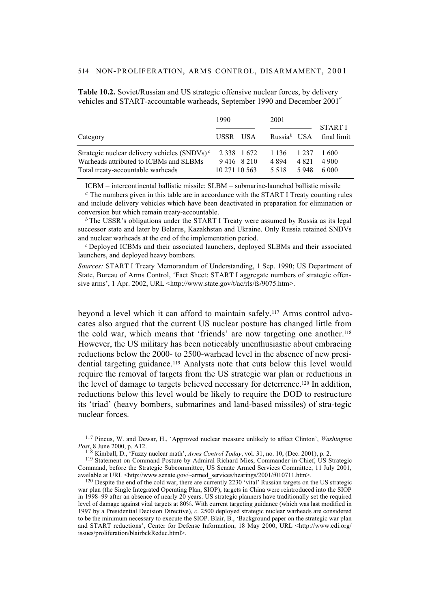|                                                                                                                                | 1990                                          | 2001                                                        | <b>START I</b>           |
|--------------------------------------------------------------------------------------------------------------------------------|-----------------------------------------------|-------------------------------------------------------------|--------------------------|
| Category                                                                                                                       | USSR USA                                      | Russia <sup>b</sup> USA                                     | final limit              |
| Strategic nuclear delivery vehicles $(SNDVs)^c$<br>Warheads attributed to ICBMs and SLBMs<br>Total treaty-accountable warheads | 2 3 3 8 1 6 7 2<br>9416 8210<br>10 271 10 563 | 1 1 3 6<br>1 2 3 7<br>4 8 2 1<br>4 8 9 4<br>5 5 1 8<br>5948 | 1600<br>4 900<br>6 0 0 0 |

**Table 10.2.** Soviet/Russian and US strategic offensive nuclear forces, by delivery vehicles and START-accountable warheads, September 1990 and December 2001*<sup>a</sup>*

ICBM = intercontinental ballistic missile; SLBM = submarine-launched ballistic missile

*<sup>a</sup>* The numbers given in this table are in accordance with the START I Treaty counting rules and include delivery vehicles which have been deactivated in preparation for elimination or conversion but which remain treaty-accountable.

*b* The USSR's obligations under the START I Treaty were assumed by Russia as its legal successor state and later by Belarus, Kazakhstan and Ukraine. Only Russia retained SNDVs and nuclear warheads at the end of the implementation period.

*<sup>c</sup>*Deployed ICBMs and their associated launchers, deployed SLBMs and their associated launchers, and deployed heavy bombers.

*Sources:* START I Treaty Memorandum of Understanding, 1 Sep. 1990; US Department of State, Bureau of Arms Control, 'Fact Sheet: START I aggregate numbers of strategic offensive arms', 1 Apr. 2002, URL <http://www.state.gov/t/ac/rls/fs/9075.htm>.

beyond a level which it can afford to maintain safely.117 Arms control advocates also argued that the current US nuclear posture has changed little from the cold war, which means that 'friends' are now targeting one another.118 However, the US military has been noticeably unenthusiastic about embracing reductions below the 2000- to 2500-warhead level in the absence of new presidential targeting guidance.119 Analysts note that cuts below this level would require the removal of targets from the US strategic war plan or reductions in the level of damage to targets believed necessary for deterrence.120 In addition, reductions below this level would be likely to require the DOD to restructure its 'triad' (heavy bombers, submarines and land-based missiles) of stra-tegic nuclear forces.

<sup>117</sup> Pincus, W. and Dewar, H., 'Approved nuclear measure unlikely to affect Clinton', *Washington Post*, 8 June 2000, p. A12.

<sup>118</sup> Kimball, D., 'Fuzzy nuclear math', *Arms Control Today*, vol. 31, no. 10, (Dec. 2001), p. 2.

<sup>119</sup> Statement on Command Posture by Admiral Richard Mies, Commander-in-Chief, US Strategic Command, before the Strategic Subcommittee, US Senate Armed Services Committee, 11 July 2001, available at URL <http://www.senate.gov/~armed\_services/hearings/2001/f010711.htm>.

 $120$  Despite the end of the cold war, there are currently 2230 'vital' Russian targets on the US strategic war plan (the Single Integrated Operating Plan, SIOP); targets in China were reintroduced into the SIOP in 1998–99 after an absence of nearly 20 years. US strategic planners have traditionally set the required level of damage against vital targets at 80%. With current targeting guidance (which was last modified in 1997 by a Presidential Decision Directive), *c*. 2500 deployed strategic nuclear warheads are considered to be the minimum necessary to execute the SIOP. Blair, B., 'Background paper on the strategic war plan and START reductions', Center for Defense Information, 18 May 2000, URL <http://www.cdi.org/ issues/proliferation/blairbckReduc.html>.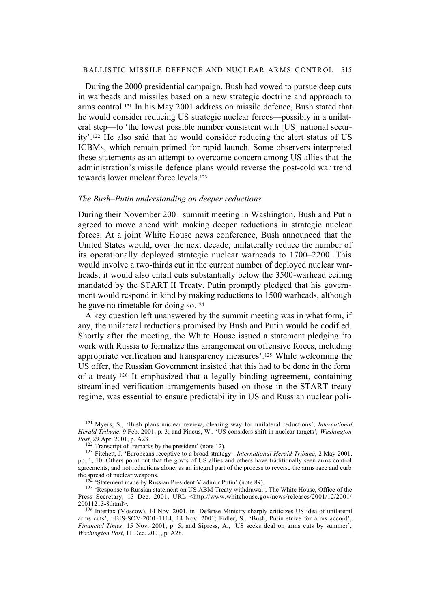## BALLISTIC MISSILE DEFENCE AND NUCLEAR ARMS CONTROL 515

During the 2000 presidential campaign, Bush had vowed to pursue deep cuts in warheads and missiles based on a new strategic doctrine and approach to arms control.121 In his May 2001 address on missile defence, Bush stated that he would consider reducing US strategic nuclear forces—possibly in a unilateral step—to 'the lowest possible number consistent with [US] national security'.122 He also said that he would consider reducing the alert status of US ICBMs, which remain primed for rapid launch. Some observers interpreted these statements as an attempt to overcome concern among US allies that the administration's missile defence plans would reverse the post-cold war trend towards lower nuclear force levels.<sup>123</sup>

#### *The Bush–Putin understanding on deeper reductions*

During their November 2001 summit meeting in Washington, Bush and Putin agreed to move ahead with making deeper reductions in strategic nuclear forces. At a joint White House news conference, Bush announced that the United States would, over the next decade, unilaterally reduce the number of its operationally deployed strategic nuclear warheads to 1700–2200. This would involve a two-thirds cut in the current number of deployed nuclear warheads; it would also entail cuts substantially below the 3500-warhead ceiling mandated by the START II Treaty. Putin promptly pledged that his government would respond in kind by making reductions to 1500 warheads, although he gave no timetable for doing so.124

A key question left unanswered by the summit meeting was in what form, if any, the unilateral reductions promised by Bush and Putin would be codified. Shortly after the meeting, the White House issued a statement pledging 'to work with Russia to formalize this arrangement on offensive forces, including appropriate verification and transparency measures'.125 While welcoming the US offer, the Russian Government insisted that this had to be done in the form of a treaty.126 It emphasized that a legally binding agreement, containing streamlined verification arrangements based on those in the START treaty regime, was essential to ensure predictability in US and Russian nuclear poli-

<sup>121</sup> Myers, S., 'Bush plans nuclear review, clearing way for unilateral reductions', *International Herald Tribune*, 9 Feb. 2001, p. 3; and Pincus, W., 'US considers shift in nuclear targets'*, Washington Post*, 29 Apr. 2001, p. A23.

 $122$  Transcript of 'remarks by the president' (note 12).

<sup>123</sup> Fitchett, J. 'Europeans receptive to a broad strategy', *International Herald Tribune*, 2 May 2001, pp. 1, 10. Others point out that the govts of US allies and others have traditionally seen arms control agreements, and not reductions alone, as an integral part of the process to reverse the arms race and curb the spread of nuclear weapons.

<sup>&#</sup>x27; 'Statement made by Russian President Vladimir Putin' (note 89).

<sup>&</sup>lt;sup>125</sup> 'Response to Russian statement on US ABM Treaty withdrawal', The White House, Office of the Press Secretary, 13 Dec. 2001, URL <http://www.whitehouse.gov/news/releases/2001/12/2001/ 20011213-8.html>.

<sup>126</sup> Interfax (Moscow), 14 Nov. 2001, in 'Defense Ministry sharply criticizes US idea of unilateral arms cuts', FBIS-SOV-2001-1114, 14 Nov. 2001; Fidler, S., 'Bush, Putin strive for arms accord', *Financial Times*, 15 Nov. 2001, p. 5; and Sipress, A., 'US seeks deal on arms cuts by summer', *Washington Post*, 11 Dec. 2001, p. A28.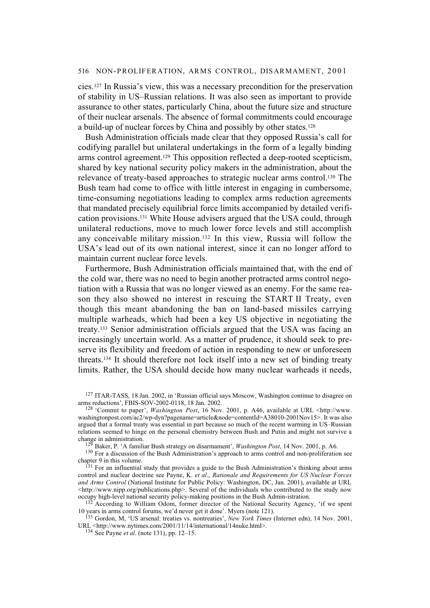cies.127 In Russia's view, this was a necessary precondition for the preservation of stability in US–Russian relations. It was also seen as important to provide assurance to other states, particularly China, about the future size and structure of their nuclear arsenals. The absence of formal commitments could encourage a build-up of nuclear forces by China and possibly by other states.128

Bush Administration officials made clear that they opposed Russia's call for codifying parallel but unilateral undertakings in the form of a legally binding arms control agreement.129 This opposition reflected a deep-rooted scepticism, shared by key national security policy makers in the administration, about the relevance of treaty-based approaches to strategic nuclear arms control.130 The Bush team had come to office with little interest in engaging in cumbersome, time-consuming negotiations leading to complex arms reduction agreements that mandated precisely equilibrial force limits accompanied by detailed verification provisions.131 White House advisers argued that the USA could, through unilateral reductions, move to much lower force levels and still accomplish any conceivable military mission.132 In this view, Russia will follow the USA's lead out of its own national interest, since it can no longer afford to maintain current nuclear force levels.

Furthermore, Bush Administration officials maintained that, with the end of the cold war, there was no need to begin another protracted arms control negotiation with a Russia that was no longer viewed as an enemy. For the same reason they also showed no interest in rescuing the START II Treaty, even though this meant abandoning the ban on land-based missiles carrying multiple warheads, which had been a key US objective in negotiating the treaty.133 Senior administration officials argued that the USA was facing an increasingly uncertain world. As a matter of prudence, it should seek to preserve its flexibility and freedom of action in responding to new or unforeseen threats.134 It should therefore not lock itself into a new set of binding treaty limits. Rather, the USA should decide how many nuclear warheads it needs,

<sup>127</sup> ITAR-TASS, 18 Jan. 2002, in 'Russian official says Moscow, Washington continue to disagree on arms reductions', FBIS-SOV-2002-0118, 18 Jan. 2002.

<sup>128 &#</sup>x27;Commit to paper', *Washington Post*, 16 Nov. 2001, p. A46, available at URL <http://www. washingtonpost.com/ac2/wp-dyn?pagename=article&node=contentId=A38010-2001Nov15>. It was also argued that a formal treaty was essential in part because so much of the recent warming in US–Russian relations seemed to hinge on the personal chemistry between Bush and Putin and might not survive a change in administration.

<sup>&</sup>lt;sup>1</sup> Baker, P. 'A familiar Bush strategy on disarmament', *Washington Post*, 14 Nov. 2001, p. A6.

<sup>&</sup>lt;sup>130</sup> For a discussion of the Bush Administration's approach to arms control and non-proliferation see chapter 9 in this volume.

<sup>&</sup>lt;sup>131</sup> For an influential study that provides a guide to the Bush Administration's thinking about arms control and nuclear doctrine see Payne, K. *et al*., *Rationale and Requirements for US Nuclear Forces and Arms Control* (National Institute for Public Policy: Washington, DC, Jan. 2001), available at URL  $\text{th}(x)$  -study://www.nipp.org/publications.php>. Several of the individuals who contributed to the study now occupy high-level national security policy-making positions in the Bush Admin-istration.

<sup>132</sup> According to William Odom, former director of the National Security Agency, 'if we spent 10 years in arms control forums, we'd never get it done'. Myers (note 121).

<sup>133</sup> Gordon, M, 'US arsenal: treaties vs. nontreaties', *New York Times* (Internet edn), 14 Nov. 2001, URL <http://www.nytimes.com/2001/11/14/international/14nuke.html>.

<sup>134</sup> See Payne *et al*. (note 131), pp. 12–15.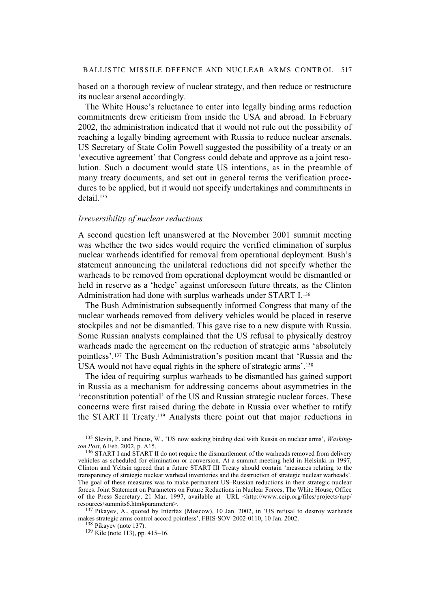based on a thorough review of nuclear strategy, and then reduce or restructure its nuclear arsenal accordingly.

The White House's reluctance to enter into legally binding arms reduction commitments drew criticism from inside the USA and abroad. In February 2002, the administration indicated that it would not rule out the possibility of reaching a legally binding agreement with Russia to reduce nuclear arsenals. US Secretary of State Colin Powell suggested the possibility of a treaty or an 'executive agreement' that Congress could debate and approve as a joint resolution. Such a document would state US intentions, as in the preamble of many treaty documents, and set out in general terms the verification procedures to be applied, but it would not specify undertakings and commitments in detail.135

## *Irreversibility of nuclear reductions*

A second question left unanswered at the November 2001 summit meeting was whether the two sides would require the verified elimination of surplus nuclear warheads identified for removal from operational deployment. Bush's statement announcing the unilateral reductions did not specify whether the warheads to be removed from operational deployment would be dismantled or held in reserve as a 'hedge' against unforeseen future threats, as the Clinton Administration had done with surplus warheads under START I.136

The Bush Administration subsequently informed Congress that many of the nuclear warheads removed from delivery vehicles would be placed in reserve stockpiles and not be dismantled. This gave rise to a new dispute with Russia. Some Russian analysts complained that the US refusal to physically destroy warheads made the agreement on the reduction of strategic arms 'absolutely pointless'.137 The Bush Administration's position meant that 'Russia and the USA would not have equal rights in the sphere of strategic arms'.138

The idea of requiring surplus warheads to be dismantled has gained support in Russia as a mechanism for addressing concerns about asymmetries in the 'reconstitution potential' of the US and Russian strategic nuclear forces. These concerns were first raised during the debate in Russia over whether to ratify the START II Treaty.139 Analysts there point out that major reductions in

<sup>135</sup> Slevin, P. and Pincus, W., 'US now seeking binding deal with Russia on nuclear arms', *Washington Post*, 6 Feb. 2002, p. A15.

<sup>&</sup>lt;sup>136</sup> START I and START II do not require the dismantlement of the warheads removed from delivery vehicles as scheduled for elimination or conversion. At a summit meeting held in Helsinki in 1997, Clinton and Yeltsin agreed that a future START III Treaty should contain 'measures relating to the transparency of strategic nuclear warhead inventories and the destruction of strategic nuclear warheads'. The goal of these measures was to make permanent US–Russian reductions in their strategic nuclear forces. Joint Statement on Parameters on Future Reductions in Nuclear Forces, The White House, Office of the Press Secretary, 21 Mar. 1997, available at URL <http://www.ceip.org/files/projects/npp/ resources/summits6.htm#parameters>.

<sup>&</sup>lt;sup>137</sup> Pikayev, A., quoted by Interfax (Moscow), 10 Jan. 2002, in 'US refusal to destroy warheads makes strategic arms control accord pointless', FBIS-SOV-2002-0110, 10 Jan. 2002.

<sup>138</sup> Pikayev (note 137).

<sup>139</sup> Kile (note 113), pp. 415–16.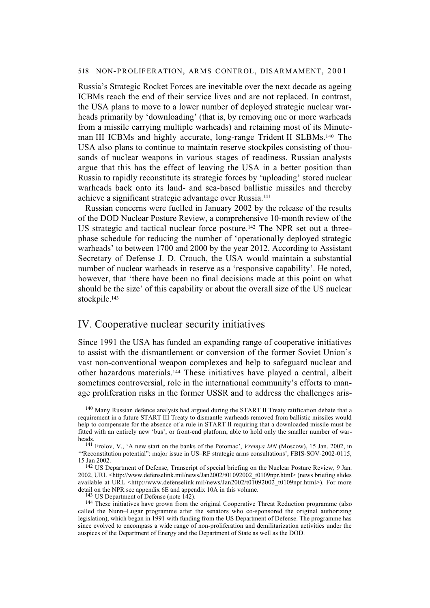Russia's Strategic Rocket Forces are inevitable over the next decade as ageing ICBMs reach the end of their service lives and are not replaced. In contrast, the USA plans to move to a lower number of deployed strategic nuclear warheads primarily by 'downloading' (that is, by removing one or more warheads from a missile carrying multiple warheads) and retaining most of its Minuteman III ICBMs and highly accurate, long-range Trident II SLBMs.140 The USA also plans to continue to maintain reserve stockpiles consisting of thousands of nuclear weapons in various stages of readiness. Russian analysts argue that this has the effect of leaving the USA in a better position than Russia to rapidly reconstitute its strategic forces by 'uploading' stored nuclear warheads back onto its land- and sea-based ballistic missiles and thereby achieve a significant strategic advantage over Russia.141

Russian concerns were fuelled in January 2002 by the release of the results of the DOD Nuclear Posture Review, a comprehensive 10-month review of the US strategic and tactical nuclear force posture.142 The NPR set out a threephase schedule for reducing the number of 'operationally deployed strategic warheads' to between 1700 and 2000 by the year 2012. According to Assistant Secretary of Defense J. D. Crouch, the USA would maintain a substantial number of nuclear warheads in reserve as a 'responsive capability'. He noted, however, that 'there have been no final decisions made at this point on what should be the size' of this capability or about the overall size of the US nuclear stockpile.<sup>143</sup>

# IV. Cooperative nuclear security initiatives

Since 1991 the USA has funded an expanding range of cooperative initiatives to assist with the dismantlement or conversion of the former Soviet Union's vast non-conventional weapon complexes and help to safeguard nuclear and other hazardous materials.144 These initiatives have played a central, albeit sometimes controversial, role in the international community's efforts to manage proliferation risks in the former USSR and to address the challenges aris-

143 US Department of Defense (note 142).

<sup>&</sup>lt;sup>140</sup> Many Russian defence analysts had argued during the START II Treaty ratification debate that a requirement in a future START III Treaty to dismantle warheads removed from ballistic missiles would help to compensate for the absence of a rule in START II requiring that a downloaded missile must be fitted with an entirely new 'bus', or front-end platform, able to hold only the smaller number of warheads.

<sup>141</sup> Frolov, V., 'A new start on the banks of the Potomac', *Vremya MN* (Moscow), 15 Jan. 2002, in '"Reconstitution potential": major issue in US–RF strategic arms consultations', FBIS-SOV-2002-0115, 15 Jan 2002.

<sup>&</sup>lt;sup>142</sup> US Department of Defense, Transcript of special briefing on the Nuclear Posture Review, 9 Jan. 2002, URL <http://www.defenselink.mil/news/Jan2002/t01092002\_t0109npr.html> (news briefing slides available at URL <http://www.defenselink.mil/news/Jan2002/t01092002\_t0109npr.html>). For more detail on the NPR see appendix 6E and appendix 10A in this volume.

<sup>&</sup>lt;sup>144</sup> These initiatives have grown from the original Cooperative Threat Reduction programme (also called the Nunn–Lugar programme after the senators who co-sponsored the original authorizing legislation), which began in 1991 with funding from the US Department of Defense. The programme has since evolved to encompass a wide range of non-proliferation and demilitarization activities under the auspices of the Department of Energy and the Department of State as well as the DOD.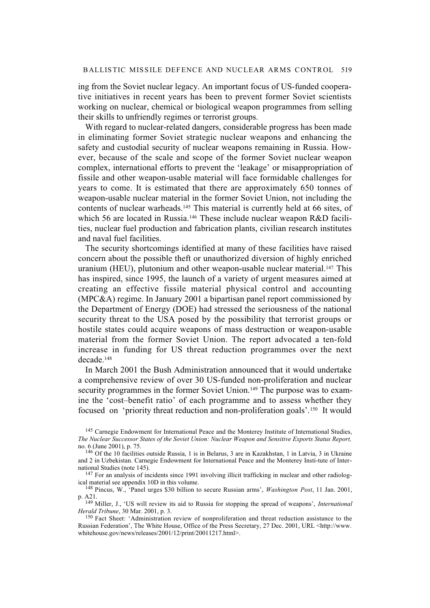ing from the Soviet nuclear legacy. An important focus of US-funded cooperative initiatives in recent years has been to prevent former Soviet scientists working on nuclear, chemical or biological weapon programmes from selling their skills to unfriendly regimes or terrorist groups.

With regard to nuclear-related dangers, considerable progress has been made in eliminating former Soviet strategic nuclear weapons and enhancing the safety and custodial security of nuclear weapons remaining in Russia. However, because of the scale and scope of the former Soviet nuclear weapon complex, international efforts to prevent the 'leakage' or misappropriation of fissile and other weapon-usable material will face formidable challenges for years to come. It is estimated that there are approximately 650 tonnes of weapon-usable nuclear material in the former Soviet Union, not including the contents of nuclear warheads.145 This material is currently held at 66 sites, of which 56 are located in Russia.<sup>146</sup> These include nuclear weapon R&D facilities, nuclear fuel production and fabrication plants, civilian research institutes and naval fuel facilities.

The security shortcomings identified at many of these facilities have raised concern about the possible theft or unauthorized diversion of highly enriched uranium (HEU), plutonium and other weapon-usable nuclear material.<sup>147</sup> This has inspired, since 1995, the launch of a variety of urgent measures aimed at creating an effective fissile material physical control and accounting (MPC&A) regime. In January 2001 a bipartisan panel report commissioned by the Department of Energy (DOE) had stressed the seriousness of the national security threat to the USA posed by the possibility that terrorist groups or hostile states could acquire weapons of mass destruction or weapon-usable material from the former Soviet Union. The report advocated a ten-fold increase in funding for US threat reduction programmes over the next decade.148

In March 2001 the Bush Administration announced that it would undertake a comprehensive review of over 30 US-funded non-proliferation and nuclear security programmes in the former Soviet Union.<sup>149</sup> The purpose was to examine the 'cost–benefit ratio' of each programme and to assess whether they focused on 'priority threat reduction and non-proliferation goals'.150 It would

<sup>147</sup> For an analysis of incidents since 1991 involving illicit trafficking in nuclear and other radiological material see appendix 10D in this volume.

148 Pincus, W., 'Panel urges \$30 billion to secure Russian arms', *Washington Post*, 11 Jan. 2001, p. A21.

149 Miller, J., 'US will review its aid to Russia for stopping the spread of weapons', *International Herald Tribune*, 30 Mar. 2001, p. 3.

<sup>150</sup> Fact Sheet: 'Administration review of nonproliferation and threat reduction assistance to the Russian Federation', The White House, Office of the Press Secretary, 27 Dec. 2001, URL <http://www. whitehouse.gov/news/releases/2001/12/print/20011217.html>.

<sup>145</sup> Carnegie Endowment for International Peace and the Monterey Institute of International Studies, *The Nuclear Successor States of the Soviet Union: Nuclear Weapon and Sensitive Exports Status Report,* no. 6 (June 2001), p. 75.

<sup>&</sup>lt;sup>146</sup> Of the 10 facilities outside Russia, 1 is in Belarus, 3 are in Kazakhstan, 1 in Latvia, 3 in Ukraine and 2 in Uzbekistan. Carnegie Endowment for International Peace and the Monterey Insti-tute of International Studies (note 145).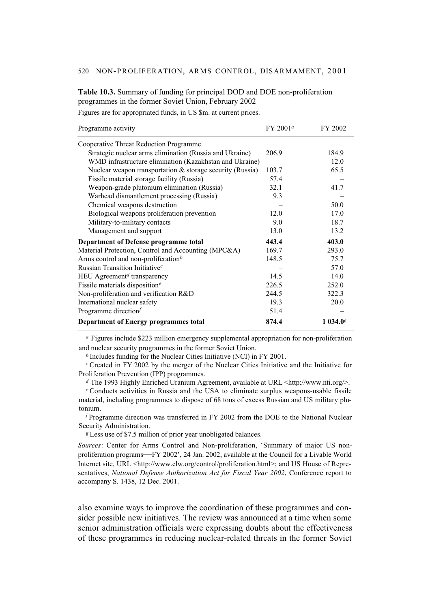**Table 10.3.** Summary of funding for principal DOD and DOE non-proliferation programmes in the former Soviet Union, February 2002

Figures are for appropriated funds, in US \$m. at current prices.

| Programme activity                                          | FY 2001 <sup>a</sup> | FY 2002  |
|-------------------------------------------------------------|----------------------|----------|
| Cooperative Threat Reduction Programme                      |                      |          |
| Strategic nuclear arms elimination (Russia and Ukraine)     | 206.9                | 184.9    |
| WMD infrastructure elimination (Kazakhstan and Ukraine)     |                      | 12.0     |
| Nuclear weapon transportation $&$ storage security (Russia) | 103.7                | 65.5     |
| Fissile material storage facility (Russia)                  | 57.4                 |          |
| Weapon-grade plutonium elimination (Russia)                 | 32.1                 | 41.7     |
| Warhead dismantlement processing (Russia)                   | 9.3                  |          |
| Chemical weapons destruction                                |                      | 50.0     |
| Biological weapons proliferation prevention                 | 12.0                 | 17.0     |
| Military-to-military contacts                               | 9.0                  | 18.7     |
| Management and support                                      | 13.0                 | 13.2     |
| Department of Defense programme total                       | 443.4                | 403.0    |
| Material Protection, Control and Accounting (MPC&A)         | 169.7                | 293.0    |
| Arms control and non-proliferation $b$                      | 148.5                | 75.7     |
| Russian Transition Initiative <sup>c</sup>                  |                      | 57.0     |
| HEU Agreement <sup>d</sup> transparency                     | 14.5                 | 14.0     |
| Fissile materials disposition <sup><math>e</math></sup>     | 226.5                | 252.0    |
| Non-proliferation and verification R&D                      | 244.5                | 322.3    |
| International nuclear safety                                | 19.3                 | 20.0     |
| Programme direction $f$                                     | 51.4                 |          |
| <b>Department of Energy programmes total</b>                | 874.4                | 1 034.0g |

*<sup>a</sup>* Figures include \$223 million emergency supplemental appropriation for non-proliferation and nuclear security programmes in the former Soviet Union.

*<sup>b</sup>*Includes funding for the Nuclear Cities Initiative (NCI) in FY 2001.

*<sup>c</sup>*Created in FY 2002 by the merger of the Nuclear Cities Initiative and the Initiative for Proliferation Prevention (IPP) programmes.

*<sup>d</sup>* The 1993 Highly Enriched Uranium Agreement, available at URL <http://www.nti.org/>.

<sup>e</sup> Conducts activities in Russia and the USA to eliminate surplus weapons-usable fissile material, including programmes to dispose of 68 tons of excess Russian and US military plutonium.

*<sup>f</sup>*Programme direction was transferred in FY 2002 from the DOE to the National Nuclear Security Administration.

*<sup>g</sup>*Less use of \$7.5 million of prior year unobligated balances.

*Sources*: Center for Arms Control and Non-proliferation, 'Summary of major US nonproliferation programs—FY 2002', 24 Jan. 2002, available at the Council for a Livable World Internet site, URL <http://www.clw.org/control/proliferation.html>; and US House of Representatives, *National Defense Authorization Act for Fiscal Year 2002*, Conference report to accompany S. 1438, 12 Dec. 2001.

also examine ways to improve the coordination of these programmes and consider possible new initiatives. The review was announced at a time when some senior administration officials were expressing doubts about the effectiveness of these programmes in reducing nuclear-related threats in the former Soviet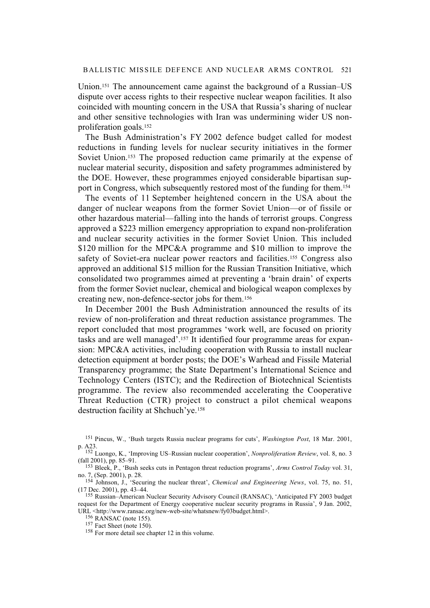Union.151 The announcement came against the background of a Russian–US dispute over access rights to their respective nuclear weapon facilities. It also coincided with mounting concern in the USA that Russia's sharing of nuclear and other sensitive technologies with Iran was undermining wider US nonproliferation goals.152

The Bush Administration's FY 2002 defence budget called for modest reductions in funding levels for nuclear security initiatives in the former Soviet Union.153 The proposed reduction came primarily at the expense of nuclear material security, disposition and safety programmes administered by the DOE. However, these programmes enjoyed considerable bipartisan support in Congress, which subsequently restored most of the funding for them.154

The events of 11 September heightened concern in the USA about the danger of nuclear weapons from the former Soviet Union—or of fissile or other hazardous material—falling into the hands of terrorist groups. Congress approved a \$223 million emergency appropriation to expand non-proliferation and nuclear security activities in the former Soviet Union. This included \$120 million for the MPC&A programme and \$10 million to improve the safety of Soviet-era nuclear power reactors and facilities.<sup>155</sup> Congress also approved an additional \$15 million for the Russian Transition Initiative, which consolidated two programmes aimed at preventing a 'brain drain' of experts from the former Soviet nuclear, chemical and biological weapon complexes by creating new, non-defence-sector jobs for them.156

In December 2001 the Bush Administration announced the results of its review of non-proliferation and threat reduction assistance programmes. The report concluded that most programmes 'work well, are focused on priority tasks and are well managed'.157 It identified four programme areas for expansion: MPC&A activities, including cooperation with Russia to install nuclear detection equipment at border posts; the DOE's Warhead and Fissile Material Transparency programme; the State Department's International Science and Technology Centers (ISTC); and the Redirection of Biotechnical Scientists programme. The review also recommended accelerating the Cooperative Threat Reduction (CTR) project to construct a pilot chemical weapons destruction facility at Shchuch'ye.158

<sup>151</sup> Pincus, W., 'Bush targets Russia nuclear programs for cuts', *Washington Post*, 18 Mar. 2001, p. A23.

<sup>152</sup> Luongo, K., 'Improving US–Russian nuclear cooperation', *Nonproliferation Review*, vol. 8, no. 3 (fall 2001), pp. 85–91.

<sup>153</sup> Bleek, P., 'Bush seeks cuts in Pentagon threat reduction programs', *Arms Control Today* vol. 31, no. 7, (Sep. 2001), p. 28.

<sup>154</sup> Johnson, J., 'Securing the nuclear threat', *Chemical and Engineering News*, vol. 75, no. 51, (17 Dec. 2001), pp. 43–44.

<sup>155</sup> Russian–American Nuclear Security Advisory Council (RANSAC), 'Anticipated FY 2003 budget request for the Department of Energy cooperative nuclear security programs in Russia', 9 Jan. 2002, URL <http://www.ransac.org/new-web-site/whatsnew/fy03budget.html>.

<sup>156</sup> RANSAC (note 155).

 $157$  Fact Sheet (note 150).

<sup>158</sup> For more detail see chapter 12 in this volume.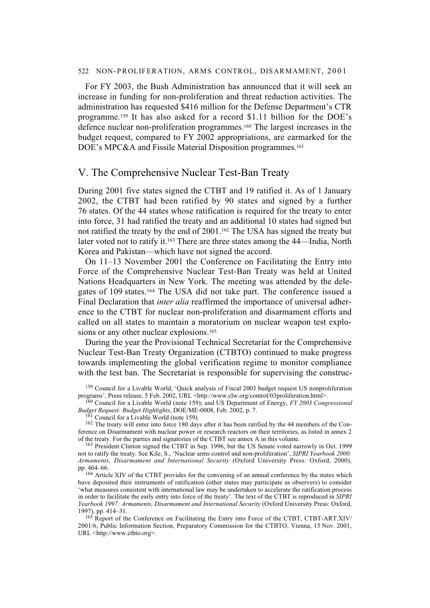For FY 2003, the Bush Administration has announced that it will seek an increase in funding for non-proliferation and threat reduction activities. The administration has requested \$416 million for the Defense Department's CTR programme.159 It has also asked for a record \$1.11 billion for the DOE's defence nuclear non-proliferation programmes.160 The largest increases in the budget request, compared to FY 2002 appropriations, are earmarked for the DOE's MPC&A and Fissile Material Disposition programmes.<sup>161</sup>

# V. The Comprehensive Nuclear Test-Ban Treaty

During 2001 five states signed the CTBT and 19 ratified it. As of 1 January 2002, the CTBT had been ratified by 90 states and signed by a further 76 states. Of the 44 states whose ratification is required for the treaty to enter into force, 31 had ratified the treaty and an additional 10 states had signed but not ratified the treaty by the end of 2001.162 The USA has signed the treaty but later voted not to ratify it.163 There are three states among the 44—India, North Korea and Pakistan—which have not signed the accord.

On 11–13 November 2001 the Conference on Facilitating the Entry into Force of the Comprehensive Nuclear Test-Ban Treaty was held at United Nations Headquarters in New York. The meeting was attended by the delegates of 109 states.164 The USA did not take part. The conference issued a Final Declaration that *inter alia* reaffirmed the importance of universal adherence to the CTBT for nuclear non-proliferation and disarmament efforts and called on all states to maintain a moratorium on nuclear weapon test explosions or any other nuclear explosions.<sup>165</sup>

During the year the Provisional Technical Secretariat for the Comprehensive Nuclear Test-Ban Treaty Organization (CTBTO) continued to make progress towards implementing the global verification regime to monitor compliance with the test ban. The Secretariat is responsible for supervising the construc-

 $161$  Council for a Livable World (note 159).

<sup>162</sup> The treaty will enter into force 180 days after it has been ratified by the 44 members of the Conference on Disarmament with nuclear power or research reactors on their territories, as listed in annex 2 of the treaty. For the parties and signatories of the CTBT see annex A in this volume.

<sup>&</sup>lt;sup>159</sup> Council for a Livable World, 'Quick analysis of Fiscal 2003 budget request US nonproliferation programs', Press release, 5 Feb. 2002, URL <http://www.clw.org/control/03proliferation.html>.

<sup>160</sup> Council for a Livable World (note 159); and US Department of Energy, *FY 2003 Congressional Budget Request: Budget Highlights*, DOE/ME-0008, Feb. 2002, p. 7.

<sup>163</sup> President Clinton signed the CTBT in Sep. 1996, but the US Senate voted narrowly in Oct. 1999 not to ratify the treaty. See Kile, S., 'Nuclear arms control and non-proliferation', *SIPRI Yearbook 2000: Armaments, Disarmament and International Security* (Oxford University Press: Oxford, 2000), pp. 464–66.

<sup>164</sup> Article XIV of the CTBT provides for the convening of an annual conference by the states which have deposited their instruments of ratification (other states may participate as observers) to consider 'what measures consistent with international law may be undertaken to accelerate the ratification process in order to facilitate the early entry into force of the treaty'. The text of the CTBT is reproduced in *SIPRI Yearbook 1997: Armaments, Disarmament and International Security* (Oxford University Press: Oxford, 1997), pp. 414–31.

<sup>&</sup>lt;sup>165</sup> Report of the Conference on Facilitating the Entry into Force of the CTBT, CTBT-ART.XIV/ 2001/6, Public Information Section, Preparatory Commission for the CTBTO, Vienna, 15 Nov. 2001, URL <http://www.ctbto.org>.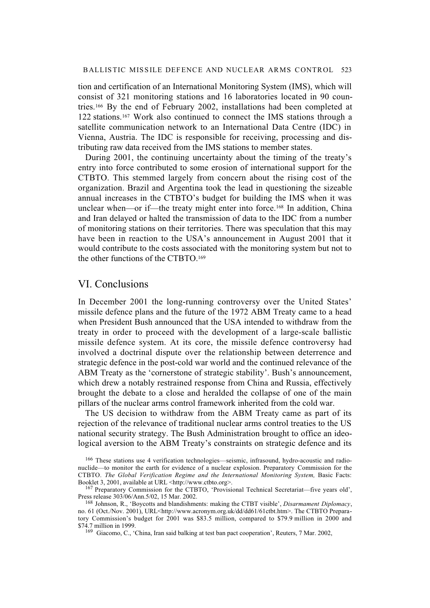tion and certification of an International Monitoring System (IMS), which will consist of 321 monitoring stations and 16 laboratories located in 90 countries.166 By the end of February 2002, installations had been completed at 122 stations.<sup>167</sup> Work also continued to connect the IMS stations through a satellite communication network to an International Data Centre (IDC) in Vienna, Austria. The IDC is responsible for receiving, processing and distributing raw data received from the IMS stations to member states.

During 2001, the continuing uncertainty about the timing of the treaty's entry into force contributed to some erosion of international support for the CTBTO. This stemmed largely from concern about the rising cost of the organization. Brazil and Argentina took the lead in questioning the sizeable annual increases in the CTBTO's budget for building the IMS when it was unclear when—or if—the treaty might enter into force.<sup>168</sup> In addition, China and Iran delayed or halted the transmission of data to the IDC from a number of monitoring stations on their territories. There was speculation that this may have been in reaction to the USA's announcement in August 2001 that it would contribute to the costs associated with the monitoring system but not to the other functions of the CTBTO.169

# VI. Conclusions

In December 2001 the long-running controversy over the United States' missile defence plans and the future of the 1972 ABM Treaty came to a head when President Bush announced that the USA intended to withdraw from the treaty in order to proceed with the development of a large-scale ballistic missile defence system. At its core, the missile defence controversy had involved a doctrinal dispute over the relationship between deterrence and strategic defence in the post-cold war world and the continued relevance of the ABM Treaty as the 'cornerstone of strategic stability'. Bush's announcement, which drew a notably restrained response from China and Russia, effectively brought the debate to a close and heralded the collapse of one of the main pillars of the nuclear arms control framework inherited from the cold war.

The US decision to withdraw from the ABM Treaty came as part of its rejection of the relevance of traditional nuclear arms control treaties to the US national security strategy. The Bush Administration brought to office an ideological aversion to the ABM Treaty's constraints on strategic defence and its

<sup>166</sup> These stations use 4 verification technologies—seismic, infrasound, hydro-acoustic and radionuclide—to monitor the earth for evidence of a nuclear explosion. Preparatory Commission for the CTBTO. *The Global Verification Regime and the International Monitoring System*, Basic Facts: Booklet 3, 2001, available at URL <http://www.ctbto.org>.

<sup>167</sup> Preparatory Commission for the CTBTO, 'Provisional Technical Secretariat—five years old', Press release 303/06/Ann.5/02, 15 Mar. 2002.

<sup>168</sup> Johnson, R., 'Boycotts and blandishments: making the CTBT visible', *Disarmament Diplomacy*, no. 61 (Oct./Nov. 2001), URL<http://www.acronym.org.uk/dd/dd61/61ctbt.htm>. The CTBTO Preparatory Commission's budget for 2001 was \$83.5 million, compared to \$79.9 million in 2000 and \$74.7 million in 1999.

<sup>&</sup>lt;sup>169</sup> Giacomo, C., 'China, Iran said balking at test ban pact cooperation', Reuters, 7 Mar. 2002,